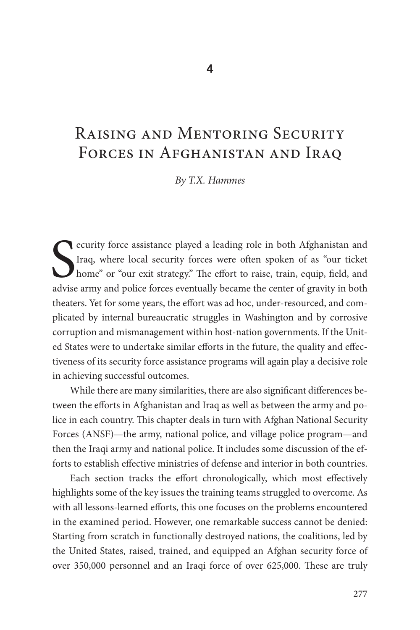# Raising and Mentoring Security Forces in Afghanistan and Iraq

*By T.X. Hammes*

Ecurity force assistance played a leading role in both Afghanistan and Iraq, where local security forces were often spoken of as "our ticket home" or "our exit strategy." The effort to raise, train, equip, field, and advis Iraq, where local security forces were often spoken of as "our ticket home" or "our exit strategy." The effort to raise, train, equip, field, and advise army and police forces eventually became the center of gravity in both theaters. Yet for some years, the effort was ad hoc, under-resourced, and complicated by internal bureaucratic struggles in Washington and by corrosive corruption and mismanagement within host-nation governments. If the United States were to undertake similar efforts in the future, the quality and effectiveness of its security force assistance programs will again play a decisive role in achieving successful outcomes.

While there are many similarities, there are also significant differences between the efforts in Afghanistan and Iraq as well as between the army and police in each country. This chapter deals in turn with Afghan National Security Forces (ANSF)—the army, national police, and village police program—and then the Iraqi army and national police. It includes some discussion of the efforts to establish effective ministries of defense and interior in both countries.

Each section tracks the effort chronologically, which most effectively highlights some of the key issues the training teams struggled to overcome. As with all lessons-learned efforts, this one focuses on the problems encountered in the examined period. However, one remarkable success cannot be denied: Starting from scratch in functionally destroyed nations, the coalitions, led by the United States, raised, trained, and equipped an Afghan security force of over 350,000 personnel and an Iraqi force of over 625,000. These are truly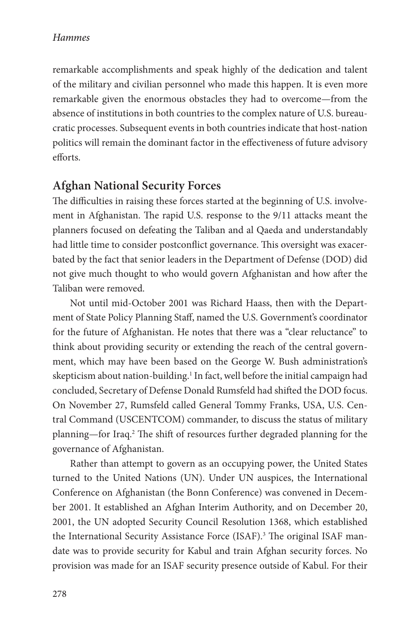remarkable accomplishments and speak highly of the dedication and talent of the military and civilian personnel who made this happen. It is even more remarkable given the enormous obstacles they had to overcome—from the absence of institutions in both countries to the complex nature of U.S. bureaucratic processes. Subsequent events in both countries indicate that host-nation politics will remain the dominant factor in the effectiveness of future advisory efforts.

# **Afghan National Security Forces**

The difficulties in raising these forces started at the beginning of U.S. involvement in Afghanistan. The rapid U.S. response to the 9/11 attacks meant the planners focused on defeating the Taliban and al Qaeda and understandably had little time to consider postconflict governance. This oversight was exacerbated by the fact that senior leaders in the Department of Defense (DOD) did not give much thought to who would govern Afghanistan and how after the Taliban were removed.

Not until mid-October 2001 was Richard Haass, then with the Department of State Policy Planning Staff, named the U.S. Government's coordinator for the future of Afghanistan. He notes that there was a "clear reluctance" to think about providing security or extending the reach of the central government, which may have been based on the George W. Bush administration's skepticism about nation-building.<sup>1</sup> In fact, well before the initial campaign had concluded, Secretary of Defense Donald Rumsfeld had shifted the DOD focus. On November 27, Rumsfeld called General Tommy Franks, USA, U.S. Central Command (USCENTCOM) commander, to discuss the status of military planning—for Iraq.<sup>2</sup> The shift of resources further degraded planning for the governance of Afghanistan.

Rather than attempt to govern as an occupying power, the United States turned to the United Nations (UN). Under UN auspices, the International Conference on Afghanistan (the Bonn Conference) was convened in December 2001. It established an Afghan Interim Authority, and on December 20, 2001, the UN adopted Security Council Resolution 1368, which established the International Security Assistance Force (ISAF).<sup>3</sup> The original ISAF mandate was to provide security for Kabul and train Afghan security forces. No provision was made for an ISAF security presence outside of Kabul. For their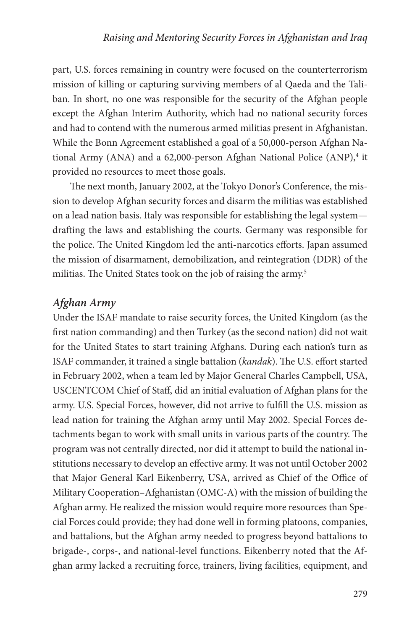part, U.S. forces remaining in country were focused on the counterterrorism mission of killing or capturing surviving members of al Qaeda and the Taliban. In short, no one was responsible for the security of the Afghan people except the Afghan Interim Authority, which had no national security forces and had to contend with the numerous armed militias present in Afghanistan. While the Bonn Agreement established a goal of a 50,000-person Afghan National Army (ANA) and a 62,000-person Afghan National Police (ANP),<sup>4</sup> it provided no resources to meet those goals.

The next month, January 2002, at the Tokyo Donor's Conference, the mission to develop Afghan security forces and disarm the militias was established on a lead nation basis. Italy was responsible for establishing the legal system drafting the laws and establishing the courts. Germany was responsible for the police. The United Kingdom led the anti-narcotics efforts. Japan assumed the mission of disarmament, demobilization, and reintegration (DDR) of the militias. The United States took on the job of raising the army.<sup>5</sup>

# *Afghan Army*

Under the ISAF mandate to raise security forces, the United Kingdom (as the first nation commanding) and then Turkey (as the second nation) did not wait for the United States to start training Afghans. During each nation's turn as ISAF commander, it trained a single battalion (*kandak*). The U.S. effort started in February 2002, when a team led by Major General Charles Campbell, USA, USCENTCOM Chief of Staff, did an initial evaluation of Afghan plans for the army. U.S. Special Forces, however, did not arrive to fulfill the U.S. mission as lead nation for training the Afghan army until May 2002. Special Forces detachments began to work with small units in various parts of the country. The program was not centrally directed, nor did it attempt to build the national institutions necessary to develop an effective army. It was not until October 2002 that Major General Karl Eikenberry, USA, arrived as Chief of the Office of Military Cooperation–Afghanistan (OMC-A) with the mission of building the Afghan army. He realized the mission would require more resources than Special Forces could provide; they had done well in forming platoons, companies, and battalions, but the Afghan army needed to progress beyond battalions to brigade-, corps-, and national-level functions. Eikenberry noted that the Afghan army lacked a recruiting force, trainers, living facilities, equipment, and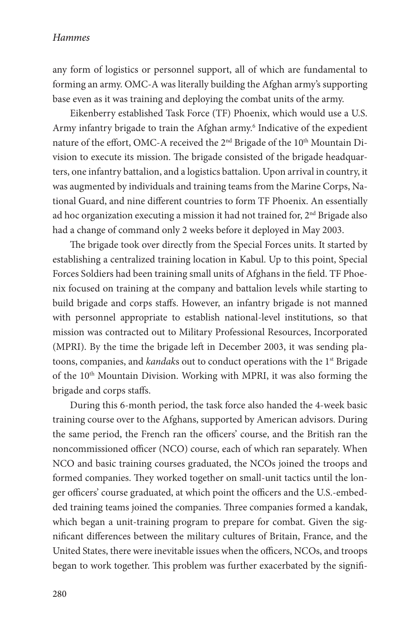any form of logistics or personnel support, all of which are fundamental to forming an army. OMC-A was literally building the Afghan army's supporting base even as it was training and deploying the combat units of the army.

Eikenberry established Task Force (TF) Phoenix, which would use a U.S. Army infantry brigade to train the Afghan army.<sup>6</sup> Indicative of the expedient nature of the effort, OMC-A received the 2<sup>nd</sup> Brigade of the 10<sup>th</sup> Mountain Division to execute its mission. The brigade consisted of the brigade headquarters, one infantry battalion, and a logistics battalion. Upon arrival in country, it was augmented by individuals and training teams from the Marine Corps, National Guard, and nine different countries to form TF Phoenix. An essentially ad hoc organization executing a mission it had not trained for, 2<sup>nd</sup> Brigade also had a change of command only 2 weeks before it deployed in May 2003.

The brigade took over directly from the Special Forces units. It started by establishing a centralized training location in Kabul. Up to this point, Special Forces Soldiers had been training small units of Afghans in the field. TF Phoenix focused on training at the company and battalion levels while starting to build brigade and corps staffs. However, an infantry brigade is not manned with personnel appropriate to establish national-level institutions, so that mission was contracted out to Military Professional Resources, Incorporated (MPRI). By the time the brigade left in December 2003, it was sending platoons, companies, and *kandak*s out to conduct operations with the 1<sup>st</sup> Brigade of the 10<sup>th</sup> Mountain Division. Working with MPRI, it was also forming the brigade and corps staffs.

During this 6-month period, the task force also handed the 4-week basic training course over to the Afghans, supported by American advisors. During the same period, the French ran the officers' course, and the British ran the noncommissioned officer (NCO) course, each of which ran separately. When NCO and basic training courses graduated, the NCOs joined the troops and formed companies. They worked together on small-unit tactics until the longer officers' course graduated, at which point the officers and the U.S.-embedded training teams joined the companies. Three companies formed a kandak, which began a unit-training program to prepare for combat. Given the significant differences between the military cultures of Britain, France, and the United States, there were inevitable issues when the officers, NCOs, and troops began to work together. This problem was further exacerbated by the signifi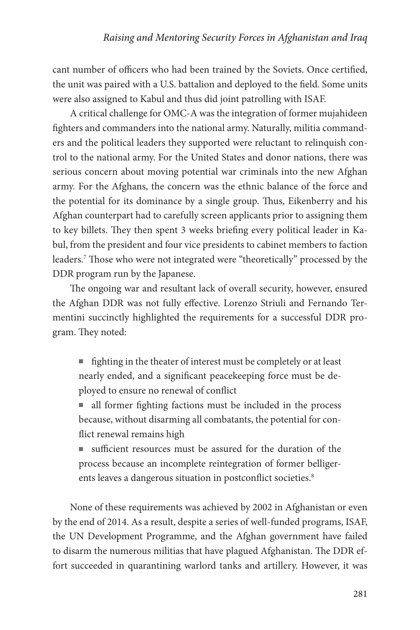cant number of officers who had been trained by the Soviets. Once certified, the unit was paired with a U.S. battalion and deployed to the field. Some units were also assigned to Kabul and thus did joint patrolling with ISAF.

A critical challenge for OMC-A was the integration of former mujahideen fighters and commanders into the national army. Naturally, militia commanders and the political leaders they supported were reluctant to relinquish control to the national army. For the United States and donor nations, there was serious concern about moving potential war criminals into the new Afghan army. For the Afghans, the concern was the ethnic balance of the force and the potential for its dominance by a single group. Thus, Eikenberry and his Afghan counterpart had to carefully screen applicants prior to assigning them to key billets. They then spent 3 weeks briefing every political leader in Kabul, from the president and four vice presidents to cabinet members to faction leaders.7 Those who were not integrated were "theoretically" processed by the DDR program run by the Japanese.

The ongoing war and resultant lack of overall security, however, ensured the Afghan DDR was not fully effective. Lorenzo Striuli and Fernando Termentini succinctly highlighted the requirements for a successful DDR program. They noted:

 $\blacksquare$  fighting in the theater of interest must be completely or at least nearly ended, and a significant peacekeeping force must be deployed to ensure no renewal of conflict

n all former fighting factions must be included in the process because, without disarming all combatants, the potential for conflict renewal remains high

■ sufficient resources must be assured for the duration of the process because an incomplete reintegration of former belligerents leaves a dangerous situation in postconflict societies.<sup>8</sup>

None of these requirements was achieved by 2002 in Afghanistan or even by the end of 2014. As a result, despite a series of well-funded programs, ISAF, the UN Development Programme, and the Afghan government have failed to disarm the numerous militias that have plagued Afghanistan. The DDR effort succeeded in quarantining warlord tanks and artillery. However, it was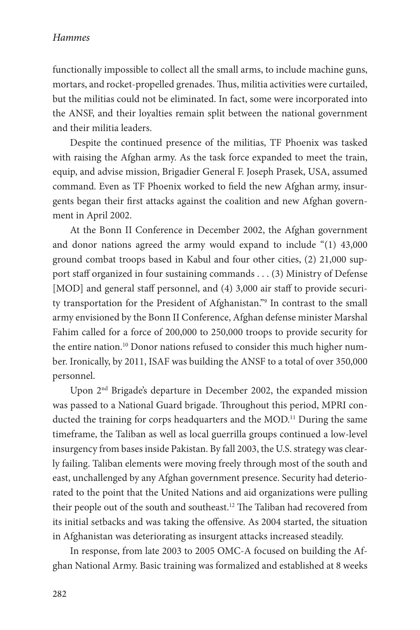functionally impossible to collect all the small arms, to include machine guns, mortars, and rocket-propelled grenades. Thus, militia activities were curtailed, but the militias could not be eliminated. In fact, some were incorporated into the ANSF, and their loyalties remain split between the national government and their militia leaders.

Despite the continued presence of the militias, TF Phoenix was tasked with raising the Afghan army. As the task force expanded to meet the train, equip, and advise mission, Brigadier General F. Joseph Prasek, USA, assumed command. Even as TF Phoenix worked to field the new Afghan army, insurgents began their first attacks against the coalition and new Afghan government in April 2002.

At the Bonn II Conference in December 2002, the Afghan government and donor nations agreed the army would expand to include "(1) 43,000 ground combat troops based in Kabul and four other cities, (2) 21,000 support staff organized in four sustaining commands . . . (3) Ministry of Defense [MOD] and general staff personnel, and (4) 3,000 air staff to provide security transportation for the President of Afghanistan."9 In contrast to the small army envisioned by the Bonn II Conference, Afghan defense minister Marshal Fahim called for a force of 200,000 to 250,000 troops to provide security for the entire nation.<sup>10</sup> Donor nations refused to consider this much higher number. Ironically, by 2011, ISAF was building the ANSF to a total of over 350,000 personnel.

Upon 2nd Brigade's departure in December 2002, the expanded mission was passed to a National Guard brigade. Throughout this period, MPRI conducted the training for corps headquarters and the MOD.<sup>11</sup> During the same timeframe, the Taliban as well as local guerrilla groups continued a low-level insurgency from bases inside Pakistan. By fall 2003, the U.S. strategy was clearly failing. Taliban elements were moving freely through most of the south and east, unchallenged by any Afghan government presence. Security had deteriorated to the point that the United Nations and aid organizations were pulling their people out of the south and southeast.12 The Taliban had recovered from its initial setbacks and was taking the offensive. As 2004 started, the situation in Afghanistan was deteriorating as insurgent attacks increased steadily.

In response, from late 2003 to 2005 OMC-A focused on building the Afghan National Army. Basic training was formalized and established at 8 weeks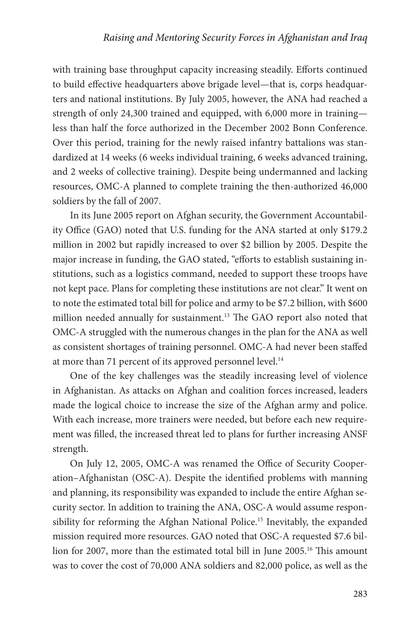with training base throughput capacity increasing steadily. Efforts continued to build effective headquarters above brigade level—that is, corps headquarters and national institutions. By July 2005, however, the ANA had reached a strength of only 24,300 trained and equipped, with 6,000 more in training less than half the force authorized in the December 2002 Bonn Conference. Over this period, training for the newly raised infantry battalions was standardized at 14 weeks (6 weeks individual training, 6 weeks advanced training, and 2 weeks of collective training). Despite being undermanned and lacking resources, OMC-A planned to complete training the then-authorized 46,000 soldiers by the fall of 2007.

In its June 2005 report on Afghan security, the Government Accountability Office (GAO) noted that U.S. funding for the ANA started at only \$179.2 million in 2002 but rapidly increased to over \$2 billion by 2005. Despite the major increase in funding, the GAO stated, "efforts to establish sustaining institutions, such as a logistics command, needed to support these troops have not kept pace. Plans for completing these institutions are not clear." It went on to note the estimated total bill for police and army to be \$7.2 billion, with \$600 million needed annually for sustainment.13 The GAO report also noted that OMC-A struggled with the numerous changes in the plan for the ANA as well as consistent shortages of training personnel. OMC-A had never been staffed at more than 71 percent of its approved personnel level.<sup>14</sup>

One of the key challenges was the steadily increasing level of violence in Afghanistan. As attacks on Afghan and coalition forces increased, leaders made the logical choice to increase the size of the Afghan army and police. With each increase, more trainers were needed, but before each new requirement was filled, the increased threat led to plans for further increasing ANSF strength.

On July 12, 2005, OMC-A was renamed the Office of Security Cooperation–Afghanistan (OSC-A). Despite the identified problems with manning and planning, its responsibility was expanded to include the entire Afghan security sector. In addition to training the ANA, OSC-A would assume responsibility for reforming the Afghan National Police.15 Inevitably, the expanded mission required more resources. GAO noted that OSC-A requested \$7.6 billion for 2007, more than the estimated total bill in June 2005.16 This amount was to cover the cost of 70,000 ANA soldiers and 82,000 police, as well as the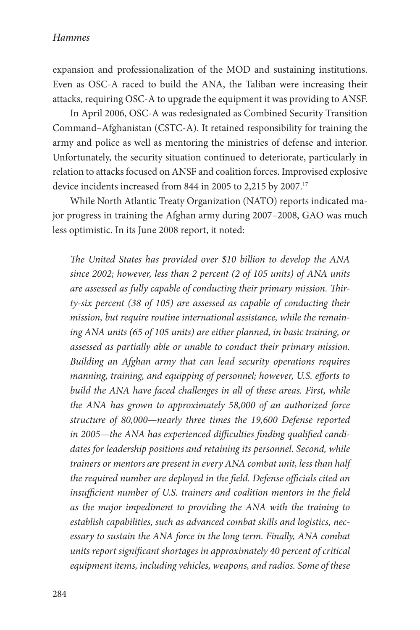expansion and professionalization of the MOD and sustaining institutions. Even as OSC-A raced to build the ANA, the Taliban were increasing their attacks, requiring OSC-A to upgrade the equipment it was providing to ANSF.

In April 2006, OSC-A was redesignated as Combined Security Transition Command–Afghanistan (CSTC-A). It retained responsibility for training the army and police as well as mentoring the ministries of defense and interior. Unfortunately, the security situation continued to deteriorate, particularly in relation to attacks focused on ANSF and coalition forces. Improvised explosive device incidents increased from 844 in 2005 to 2,215 by 2007.17

While North Atlantic Treaty Organization (NATO) reports indicated major progress in training the Afghan army during 2007–2008, GAO was much less optimistic. In its June 2008 report, it noted:

*The United States has provided over \$10 billion to develop the ANA since 2002; however, less than 2 percent (2 of 105 units) of ANA units are assessed as fully capable of conducting their primary mission. Thirty-six percent (38 of 105) are assessed as capable of conducting their mission, but require routine international assistance, while the remaining ANA units (65 of 105 units) are either planned, in basic training, or assessed as partially able or unable to conduct their primary mission. Building an Afghan army that can lead security operations requires manning, training, and equipping of personnel; however, U.S. efforts to build the ANA have faced challenges in all of these areas. First, while the ANA has grown to approximately 58,000 of an authorized force structure of 80,000—nearly three times the 19,600 Defense reported in 2005—the ANA has experienced difficulties finding qualified candidates for leadership positions and retaining its personnel. Second, while trainers or mentors are present in every ANA combat unit, less than half the required number are deployed in the field. Defense officials cited an insufficient number of U.S. trainers and coalition mentors in the field as the major impediment to providing the ANA with the training to establish capabilities, such as advanced combat skills and logistics, necessary to sustain the ANA force in the long term. Finally, ANA combat units report significant shortages in approximately 40 percent of critical equipment items, including vehicles, weapons, and radios. Some of these*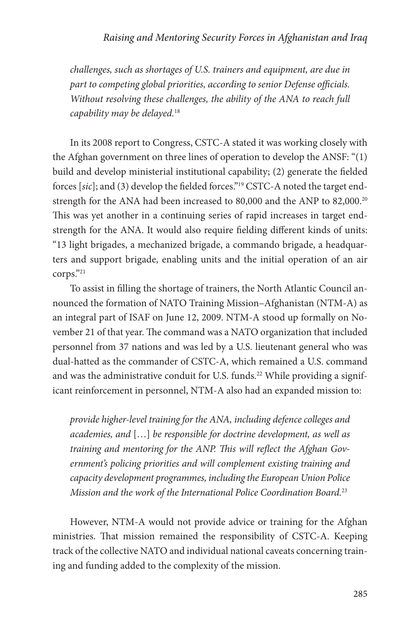*challenges, such as shortages of U.S. trainers and equipment, are due in part to competing global priorities, according to senior Defense officials. Without resolving these challenges, the ability of the ANA to reach full capability may be delayed.*<sup>18</sup>

In its 2008 report to Congress, CSTC-A stated it was working closely with the Afghan government on three lines of operation to develop the ANSF: "(1) build and develop ministerial institutional capability; (2) generate the fielded forces [*sic*]; and (3) develop the fielded forces."19 CSTC-A noted the target endstrength for the ANA had been increased to 80,000 and the ANP to 82,000.<sup>20</sup> This was yet another in a continuing series of rapid increases in target endstrength for the ANA. It would also require fielding different kinds of units: "13 light brigades, a mechanized brigade, a commando brigade, a headquarters and support brigade, enabling units and the initial operation of an air corps."21

To assist in filling the shortage of trainers, the North Atlantic Council announced the formation of NATO Training Mission–Afghanistan (NTM-A) as an integral part of ISAF on June 12, 2009. NTM-A stood up formally on November 21 of that year. The command was a NATO organization that included personnel from 37 nations and was led by a U.S. lieutenant general who was dual-hatted as the commander of CSTC-A, which remained a U.S. command and was the administrative conduit for U.S. funds.<sup>22</sup> While providing a significant reinforcement in personnel, NTM-A also had an expanded mission to:

*provide higher-level training for the ANA, including defence colleges and academies, and* […] *be responsible for doctrine development, as well as training and mentoring for the ANP. This will reflect the Afghan Government's policing priorities and will complement existing training and capacity development programmes, including the European Union Police Mission and the work of the International Police Coordination Board.*<sup>23</sup>

However, NTM-A would not provide advice or training for the Afghan ministries. That mission remained the responsibility of CSTC-A. Keeping track of the collective NATO and individual national caveats concerning training and funding added to the complexity of the mission.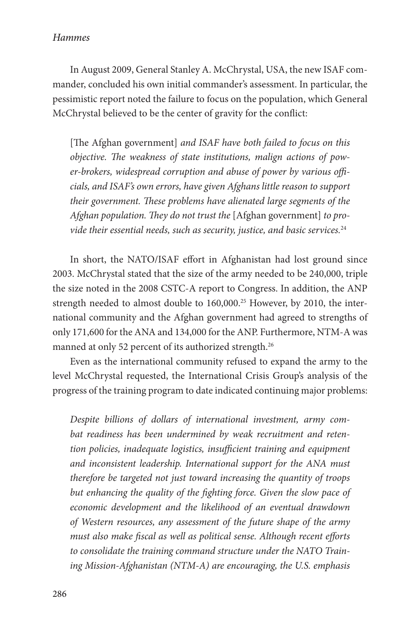In August 2009, General Stanley A. McChrystal, USA, the new ISAF commander, concluded his own initial commander's assessment. In particular, the pessimistic report noted the failure to focus on the population, which General McChrystal believed to be the center of gravity for the conflict:

[The Afghan government] *and ISAF have both failed to focus on this objective. The weakness of state institutions, malign actions of power-brokers, widespread corruption and abuse of power by various officials, and ISAF's own errors, have given Afghans little reason to support their government. These problems have alienated large segments of the Afghan population. They do not trust the* [Afghan government] *to provide their essential needs, such as security, justice, and basic services.*<sup>24</sup>

In short, the NATO/ISAF effort in Afghanistan had lost ground since 2003. McChrystal stated that the size of the army needed to be 240,000, triple the size noted in the 2008 CSTC-A report to Congress. In addition, the ANP strength needed to almost double to 160,000.<sup>25</sup> However, by 2010, the international community and the Afghan government had agreed to strengths of only 171,600 for the ANA and 134,000 for the ANP. Furthermore, NTM-A was manned at only 52 percent of its authorized strength.<sup>26</sup>

Even as the international community refused to expand the army to the level McChrystal requested, the International Crisis Group's analysis of the progress of the training program to date indicated continuing major problems:

*Despite billions of dollars of international investment, army combat readiness has been undermined by weak recruitment and retention policies, inadequate logistics, insufficient training and equipment and inconsistent leadership. International support for the ANA must therefore be targeted not just toward increasing the quantity of troops but enhancing the quality of the fighting force. Given the slow pace of economic development and the likelihood of an eventual drawdown of Western resources, any assessment of the future shape of the army must also make fiscal as well as political sense. Although recent efforts to consolidate the training command structure under the NATO Training Mission-Afghanistan (NTM-A) are encouraging, the U.S. emphasis*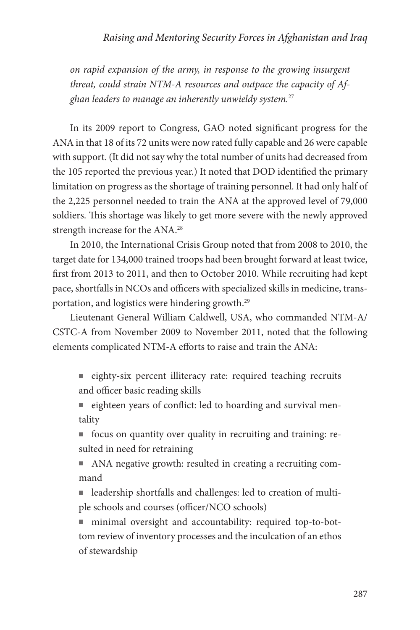*on rapid expansion of the army, in response to the growing insurgent threat, could strain NTM-A resources and outpace the capacity of Afghan leaders to manage an inherently unwieldy system.*<sup>27</sup>

In its 2009 report to Congress, GAO noted significant progress for the ANA in that 18 of its 72 units were now rated fully capable and 26 were capable with support. (It did not say why the total number of units had decreased from the 105 reported the previous year.) It noted that DOD identified the primary limitation on progress as the shortage of training personnel. It had only half of the 2,225 personnel needed to train the ANA at the approved level of 79,000 soldiers. This shortage was likely to get more severe with the newly approved strength increase for the ANA.28

In 2010, the International Crisis Group noted that from 2008 to 2010, the target date for 134,000 trained troops had been brought forward at least twice, first from 2013 to 2011, and then to October 2010. While recruiting had kept pace, shortfalls in NCOs and officers with specialized skills in medicine, transportation, and logistics were hindering growth.29

Lieutenant General William Caldwell, USA, who commanded NTM-A/ CSTC-A from November 2009 to November 2011, noted that the following elements complicated NTM-A efforts to raise and train the ANA:

- eighty-six percent illiteracy rate: required teaching recruits and officer basic reading skills
- eighteen years of conflict: led to hoarding and survival mentality
- focus on quantity over quality in recruiting and training: resulted in need for retraining
- <sup>n</sup> ANA negative growth: resulted in creating a recruiting command
- n leadership shortfalls and challenges: led to creation of multiple schools and courses (officer/NCO schools)
- <sup>n</sup> minimal oversight and accountability: required top-to-bottom review of inventory processes and the inculcation of an ethos of stewardship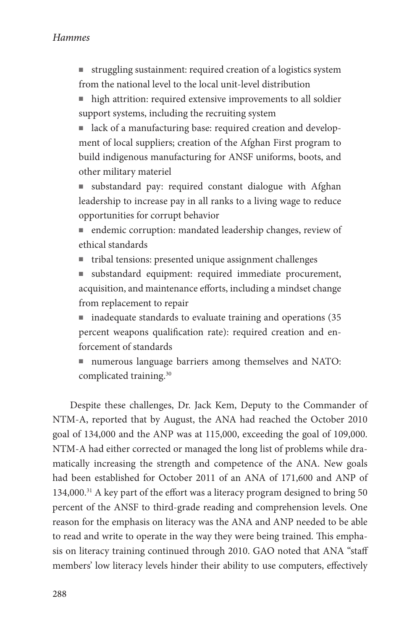■ struggling sustainment: required creation of a logistics system from the national level to the local unit-level distribution

 $\blacksquare$  high attrition: required extensive improvements to all soldier support systems, including the recruiting system

n lack of a manufacturing base: required creation and development of local suppliers; creation of the Afghan First program to build indigenous manufacturing for ANSF uniforms, boots, and other military materiel

<sup>n</sup> substandard pay: required constant dialogue with Afghan leadership to increase pay in all ranks to a living wage to reduce opportunities for corrupt behavior

n endemic corruption: mandated leadership changes, review of ethical standards

- tribal tensions: presented unique assignment challenges
- <sup>n</sup> substandard equipment: required immediate procurement, acquisition, and maintenance efforts, including a mindset change from replacement to repair

 $\blacksquare$  inadequate standards to evaluate training and operations (35 percent weapons qualification rate): required creation and enforcement of standards

numerous language barriers among themselves and NATO: complicated training.30

Despite these challenges, Dr. Jack Kem, Deputy to the Commander of NTM-A, reported that by August, the ANA had reached the October 2010 goal of 134,000 and the ANP was at 115,000, exceeding the goal of 109,000. NTM-A had either corrected or managed the long list of problems while dramatically increasing the strength and competence of the ANA. New goals had been established for October 2011 of an ANA of 171,600 and ANP of 134,000.<sup>31</sup> A key part of the effort was a literacy program designed to bring 50 percent of the ANSF to third-grade reading and comprehension levels. One reason for the emphasis on literacy was the ANA and ANP needed to be able to read and write to operate in the way they were being trained. This emphasis on literacy training continued through 2010. GAO noted that ANA "staff members' low literacy levels hinder their ability to use computers, effectively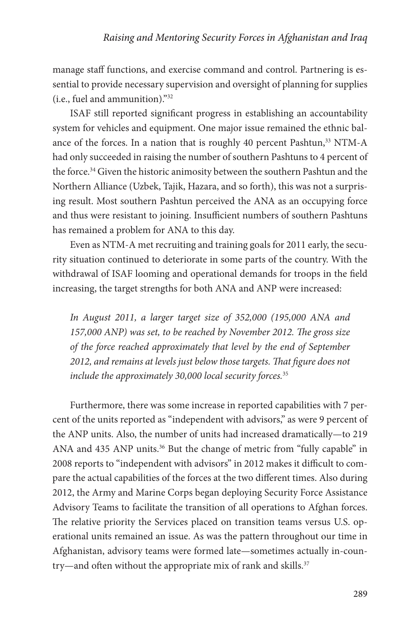manage staff functions, and exercise command and control. Partnering is essential to provide necessary supervision and oversight of planning for supplies (i.e., fuel and ammunition)."32

ISAF still reported significant progress in establishing an accountability system for vehicles and equipment. One major issue remained the ethnic balance of the forces. In a nation that is roughly 40 percent Pashtun,<sup>33</sup> NTM-A had only succeeded in raising the number of southern Pashtuns to 4 percent of the force.34 Given the historic animosity between the southern Pashtun and the Northern Alliance (Uzbek, Tajik, Hazara, and so forth), this was not a surprising result. Most southern Pashtun perceived the ANA as an occupying force and thus were resistant to joining. Insufficient numbers of southern Pashtuns has remained a problem for ANA to this day.

Even as NTM-A met recruiting and training goals for 2011 early, the security situation continued to deteriorate in some parts of the country. With the withdrawal of ISAF looming and operational demands for troops in the field increasing, the target strengths for both ANA and ANP were increased:

*In August 2011, a larger target size of 352,000 (195,000 ANA and 157,000 ANP) was set, to be reached by November 2012. The gross size of the force reached approximately that level by the end of September 2012, and remains at levels just below those targets. That figure does not include the approximately 30,000 local security forces.*<sup>35</sup>

Furthermore, there was some increase in reported capabilities with 7 percent of the units reported as "independent with advisors," as were 9 percent of the ANP units. Also, the number of units had increased dramatically—to 219 ANA and 435 ANP units.<sup>36</sup> But the change of metric from "fully capable" in 2008 reports to "independent with advisors" in 2012 makes it difficult to compare the actual capabilities of the forces at the two different times. Also during 2012, the Army and Marine Corps began deploying Security Force Assistance Advisory Teams to facilitate the transition of all operations to Afghan forces. The relative priority the Services placed on transition teams versus U.S. operational units remained an issue. As was the pattern throughout our time in Afghanistan, advisory teams were formed late—sometimes actually in-country—and often without the appropriate mix of rank and skills.<sup>37</sup>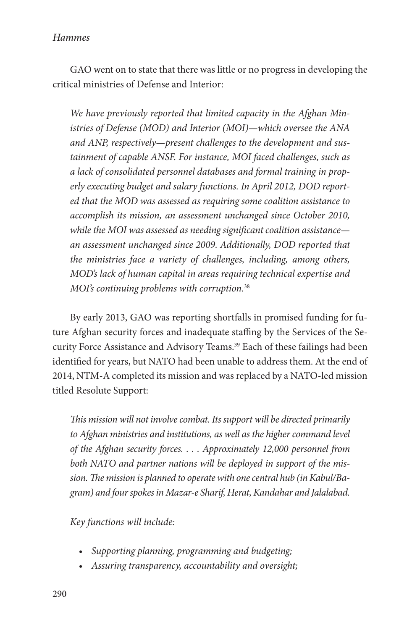GAO went on to state that there was little or no progress in developing the critical ministries of Defense and Interior:

*We have previously reported that limited capacity in the Afghan Ministries of Defense (MOD) and Interior (MOI)—which oversee the ANA and ANP, respectively—present challenges to the development and sustainment of capable ANSF. For instance, MOI faced challenges, such as a lack of consolidated personnel databases and formal training in properly executing budget and salary functions. In April 2012, DOD reported that the MOD was assessed as requiring some coalition assistance to accomplish its mission, an assessment unchanged since October 2010, while the MOI was assessed as needing significant coalition assistance an assessment unchanged since 2009. Additionally, DOD reported that the ministries face a variety of challenges, including, among others, MOD's lack of human capital in areas requiring technical expertise and MOI's continuing problems with corruption.*<sup>38</sup>

By early 2013, GAO was reporting shortfalls in promised funding for future Afghan security forces and inadequate staffing by the Services of the Security Force Assistance and Advisory Teams.<sup>39</sup> Each of these failings had been identified for years, but NATO had been unable to address them. At the end of 2014, NTM-A completed its mission and was replaced by a NATO-led mission titled Resolute Support:

*This mission will not involve combat. Its support will be directed primarily*  to Afghan ministries and institutions, as well as the higher command level *of the Afghan security forces. . . . Approximately 12,000 personnel from both NATO and partner nations will be deployed in support of the mission. The mission is planned to operate with one central hub (in Kabul/Bagram) and four spokes in Mazar-e Sharif, Herat, Kandahar and Jalalabad.*

*Key functions will include:*

- *• Supporting planning, programming and budgeting;*
- *• Assuring transparency, accountability and oversight;*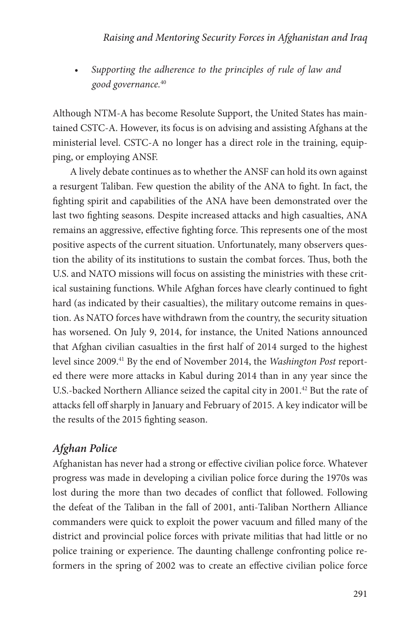*• Supporting the adherence to the principles of rule of law and good governance.*<sup>40</sup>

Although NTM-A has become Resolute Support, the United States has maintained CSTC-A. However, its focus is on advising and assisting Afghans at the ministerial level. CSTC-A no longer has a direct role in the training, equipping, or employing ANSF.

A lively debate continues as to whether the ANSF can hold its own against a resurgent Taliban. Few question the ability of the ANA to fight. In fact, the fighting spirit and capabilities of the ANA have been demonstrated over the last two fighting seasons. Despite increased attacks and high casualties, ANA remains an aggressive, effective fighting force. This represents one of the most positive aspects of the current situation. Unfortunately, many observers question the ability of its institutions to sustain the combat forces. Thus, both the U.S. and NATO missions will focus on assisting the ministries with these critical sustaining functions. While Afghan forces have clearly continued to fight hard (as indicated by their casualties), the military outcome remains in question. As NATO forces have withdrawn from the country, the security situation has worsened. On July 9, 2014, for instance, the United Nations announced that Afghan civilian casualties in the first half of 2014 surged to the highest level since 2009.41 By the end of November 2014, the *Washington Post* reported there were more attacks in Kabul during 2014 than in any year since the U.S.-backed Northern Alliance seized the capital city in 2001.<sup>42</sup> But the rate of attacks fell off sharply in January and February of 2015. A key indicator will be the results of the 2015 fighting season.

# *Afghan Police*

Afghanistan has never had a strong or effective civilian police force. Whatever progress was made in developing a civilian police force during the 1970s was lost during the more than two decades of conflict that followed. Following the defeat of the Taliban in the fall of 2001, anti-Taliban Northern Alliance commanders were quick to exploit the power vacuum and filled many of the district and provincial police forces with private militias that had little or no police training or experience. The daunting challenge confronting police reformers in the spring of 2002 was to create an effective civilian police force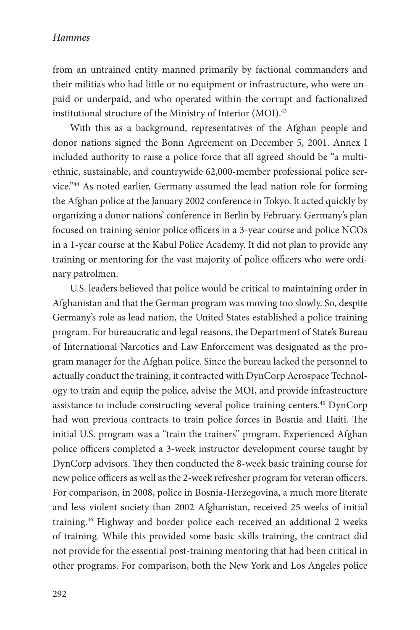from an untrained entity manned primarily by factional commanders and their militias who had little or no equipment or infrastructure, who were unpaid or underpaid, and who operated within the corrupt and factionalized institutional structure of the Ministry of Interior (MOI).<sup>43</sup>

With this as a background, representatives of the Afghan people and donor nations signed the Bonn Agreement on December 5, 2001. Annex I included authority to raise a police force that all agreed should be "a multiethnic, sustainable, and countrywide 62,000-member professional police service."44 As noted earlier, Germany assumed the lead nation role for forming the Afghan police at the January 2002 conference in Tokyo. It acted quickly by organizing a donor nations' conference in Berlin by February. Germany's plan focused on training senior police officers in a 3-year course and police NCOs in a 1-year course at the Kabul Police Academy. It did not plan to provide any training or mentoring for the vast majority of police officers who were ordinary patrolmen.

U.S. leaders believed that police would be critical to maintaining order in Afghanistan and that the German program was moving too slowly. So, despite Germany's role as lead nation, the United States established a police training program. For bureaucratic and legal reasons, the Department of State's Bureau of International Narcotics and Law Enforcement was designated as the program manager for the Afghan police. Since the bureau lacked the personnel to actually conduct the training, it contracted with DynCorp Aerospace Technology to train and equip the police, advise the MOI, and provide infrastructure assistance to include constructing several police training centers.45 DynCorp had won previous contracts to train police forces in Bosnia and Haiti. The initial U.S. program was a "train the trainers" program. Experienced Afghan police officers completed a 3-week instructor development course taught by DynCorp advisors. They then conducted the 8-week basic training course for new police officers as well as the 2-week refresher program for veteran officers. For comparison, in 2008, police in Bosnia-Herzegovina, a much more literate and less violent society than 2002 Afghanistan, received 25 weeks of initial training.46 Highway and border police each received an additional 2 weeks of training. While this provided some basic skills training, the contract did not provide for the essential post-training mentoring that had been critical in other programs. For comparison, both the New York and Los Angeles police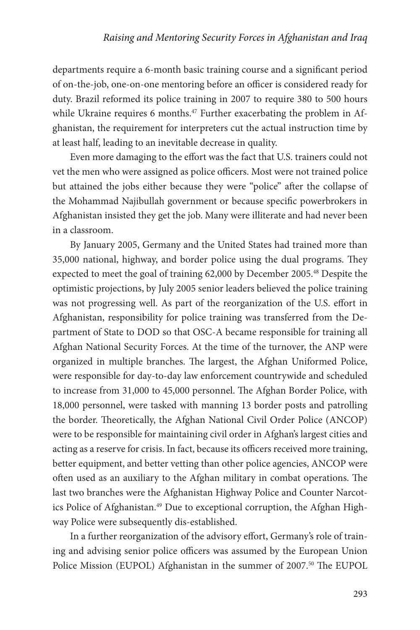departments require a 6-month basic training course and a significant period of on-the-job, one-on-one mentoring before an officer is considered ready for duty. Brazil reformed its police training in 2007 to require 380 to 500 hours while Ukraine requires 6 months.<sup>47</sup> Further exacerbating the problem in Afghanistan, the requirement for interpreters cut the actual instruction time by at least half, leading to an inevitable decrease in quality.

Even more damaging to the effort was the fact that U.S. trainers could not vet the men who were assigned as police officers. Most were not trained police but attained the jobs either because they were "police" after the collapse of the Mohammad Najibullah government or because specific powerbrokers in Afghanistan insisted they get the job. Many were illiterate and had never been in a classroom.

By January 2005, Germany and the United States had trained more than 35,000 national, highway, and border police using the dual programs. They expected to meet the goal of training 62,000 by December 2005.<sup>48</sup> Despite the optimistic projections, by July 2005 senior leaders believed the police training was not progressing well. As part of the reorganization of the U.S. effort in Afghanistan, responsibility for police training was transferred from the Department of State to DOD so that OSC-A became responsible for training all Afghan National Security Forces. At the time of the turnover, the ANP were organized in multiple branches. The largest, the Afghan Uniformed Police, were responsible for day-to-day law enforcement countrywide and scheduled to increase from 31,000 to 45,000 personnel. The Afghan Border Police, with 18,000 personnel, were tasked with manning 13 border posts and patrolling the border. Theoretically, the Afghan National Civil Order Police (ANCOP) were to be responsible for maintaining civil order in Afghan's largest cities and acting as a reserve for crisis. In fact, because its officers received more training, better equipment, and better vetting than other police agencies, ANCOP were often used as an auxiliary to the Afghan military in combat operations. The last two branches were the Afghanistan Highway Police and Counter Narcotics Police of Afghanistan.<sup>49</sup> Due to exceptional corruption, the Afghan Highway Police were subsequently dis-established.

In a further reorganization of the advisory effort, Germany's role of training and advising senior police officers was assumed by the European Union Police Mission (EUPOL) Afghanistan in the summer of 2007.<sup>50</sup> The EUPOL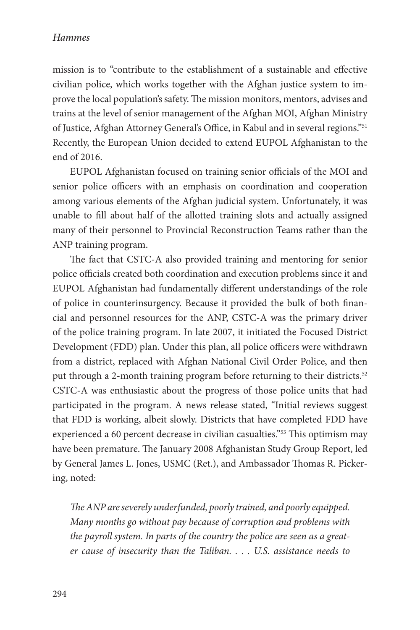mission is to "contribute to the establishment of a sustainable and effective civilian police, which works together with the Afghan justice system to improve the local population's safety. The mission monitors, mentors, advises and trains at the level of senior management of the Afghan MOI, Afghan Ministry of Justice, Afghan Attorney General's Office, in Kabul and in several regions."51 Recently, the European Union decided to extend EUPOL Afghanistan to the end of 2016.

EUPOL Afghanistan focused on training senior officials of the MOI and senior police officers with an emphasis on coordination and cooperation among various elements of the Afghan judicial system. Unfortunately, it was unable to fill about half of the allotted training slots and actually assigned many of their personnel to Provincial Reconstruction Teams rather than the ANP training program.

The fact that CSTC-A also provided training and mentoring for senior police officials created both coordination and execution problems since it and EUPOL Afghanistan had fundamentally different understandings of the role of police in counterinsurgency. Because it provided the bulk of both financial and personnel resources for the ANP, CSTC-A was the primary driver of the police training program. In late 2007, it initiated the Focused District Development (FDD) plan. Under this plan, all police officers were withdrawn from a district, replaced with Afghan National Civil Order Police, and then put through a 2-month training program before returning to their districts.<sup>52</sup> CSTC-A was enthusiastic about the progress of those police units that had participated in the program. A news release stated, "Initial reviews suggest that FDD is working, albeit slowly. Districts that have completed FDD have experienced a 60 percent decrease in civilian casualties."53 This optimism may have been premature. The January 2008 Afghanistan Study Group Report, led by General James L. Jones, USMC (Ret.), and Ambassador Thomas R. Pickering, noted:

*The ANP are severely underfunded, poorly trained, and poorly equipped. Many months go without pay because of corruption and problems with the payroll system. In parts of the country the police are seen as a greater cause of insecurity than the Taliban. . . . U.S. assistance needs to*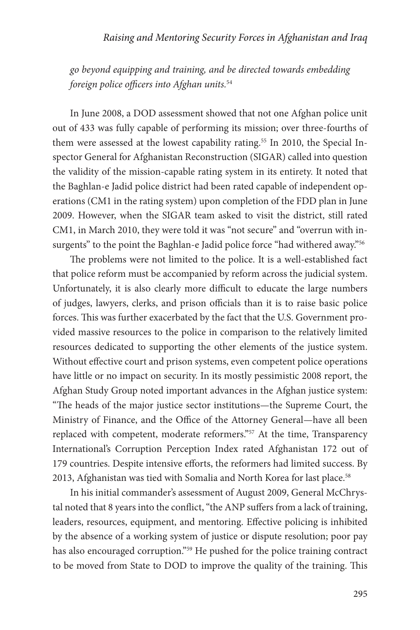*go beyond equipping and training, and be directed towards embedding foreign police officers into Afghan units.*<sup>54</sup>

In June 2008, a DOD assessment showed that not one Afghan police unit out of 433 was fully capable of performing its mission; over three-fourths of them were assessed at the lowest capability rating.<sup>55</sup> In 2010, the Special Inspector General for Afghanistan Reconstruction (SIGAR) called into question the validity of the mission-capable rating system in its entirety. It noted that the Baghlan-e Jadid police district had been rated capable of independent operations (CM1 in the rating system) upon completion of the FDD plan in June 2009. However, when the SIGAR team asked to visit the district, still rated CM1, in March 2010, they were told it was "not secure" and "overrun with insurgents" to the point the Baghlan-e Jadid police force "had withered away."<sup>56</sup>

The problems were not limited to the police. It is a well-established fact that police reform must be accompanied by reform across the judicial system. Unfortunately, it is also clearly more difficult to educate the large numbers of judges, lawyers, clerks, and prison officials than it is to raise basic police forces. This was further exacerbated by the fact that the U.S. Government provided massive resources to the police in comparison to the relatively limited resources dedicated to supporting the other elements of the justice system. Without effective court and prison systems, even competent police operations have little or no impact on security. In its mostly pessimistic 2008 report, the Afghan Study Group noted important advances in the Afghan justice system: "The heads of the major justice sector institutions—the Supreme Court, the Ministry of Finance, and the Office of the Attorney General—have all been replaced with competent, moderate reformers."57 At the time, Transparency International's Corruption Perception Index rated Afghanistan 172 out of 179 countries. Despite intensive efforts, the reformers had limited success. By 2013, Afghanistan was tied with Somalia and North Korea for last place.<sup>58</sup>

In his initial commander's assessment of August 2009, General McChrystal noted that 8 years into the conflict, "the ANP suffers from a lack of training, leaders, resources, equipment, and mentoring. Effective policing is inhibited by the absence of a working system of justice or dispute resolution; poor pay has also encouraged corruption."<sup>59</sup> He pushed for the police training contract to be moved from State to DOD to improve the quality of the training. This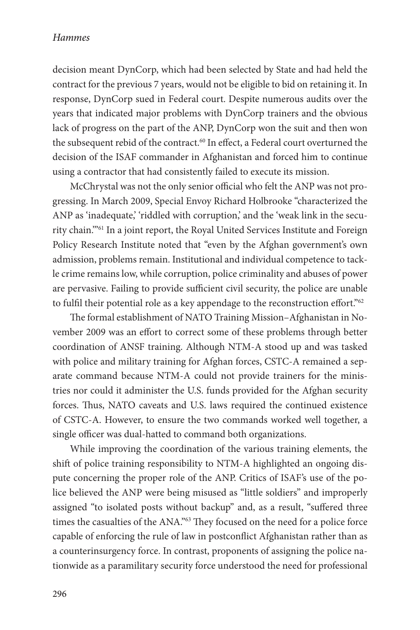decision meant DynCorp, which had been selected by State and had held the contract for the previous 7 years, would not be eligible to bid on retaining it. In response, DynCorp sued in Federal court. Despite numerous audits over the years that indicated major problems with DynCorp trainers and the obvious lack of progress on the part of the ANP, DynCorp won the suit and then won the subsequent rebid of the contract.<sup>60</sup> In effect, a Federal court overturned the decision of the ISAF commander in Afghanistan and forced him to continue using a contractor that had consistently failed to execute its mission.

McChrystal was not the only senior official who felt the ANP was not progressing. In March 2009, Special Envoy Richard Holbrooke "characterized the ANP as 'inadequate,' 'riddled with corruption,' and the 'weak link in the security chain.'"61 In a joint report, the Royal United Services Institute and Foreign Policy Research Institute noted that "even by the Afghan government's own admission, problems remain. Institutional and individual competence to tackle crime remains low, while corruption, police criminality and abuses of power are pervasive. Failing to provide sufficient civil security, the police are unable to fulfil their potential role as a key appendage to the reconstruction effort."<sup>62</sup>

The formal establishment of NATO Training Mission–Afghanistan in November 2009 was an effort to correct some of these problems through better coordination of ANSF training. Although NTM-A stood up and was tasked with police and military training for Afghan forces, CSTC-A remained a separate command because NTM-A could not provide trainers for the ministries nor could it administer the U.S. funds provided for the Afghan security forces. Thus, NATO caveats and U.S. laws required the continued existence of CSTC-A. However, to ensure the two commands worked well together, a single officer was dual-hatted to command both organizations.

While improving the coordination of the various training elements, the shift of police training responsibility to NTM-A highlighted an ongoing dispute concerning the proper role of the ANP. Critics of ISAF's use of the police believed the ANP were being misused as "little soldiers" and improperly assigned "to isolated posts without backup" and, as a result, "suffered three times the casualties of the ANA."<sup>63</sup> They focused on the need for a police force capable of enforcing the rule of law in postconflict Afghanistan rather than as a counterinsurgency force. In contrast, proponents of assigning the police nationwide as a paramilitary security force understood the need for professional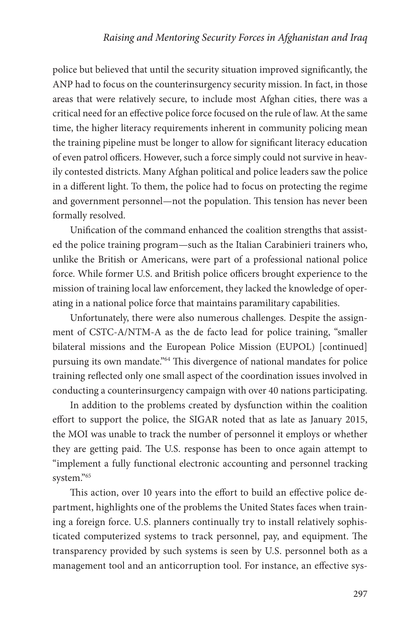police but believed that until the security situation improved significantly, the ANP had to focus on the counterinsurgency security mission. In fact, in those areas that were relatively secure, to include most Afghan cities, there was a critical need for an effective police force focused on the rule of law. At the same time, the higher literacy requirements inherent in community policing mean the training pipeline must be longer to allow for significant literacy education of even patrol officers. However, such a force simply could not survive in heavily contested districts. Many Afghan political and police leaders saw the police in a different light. To them, the police had to focus on protecting the regime and government personnel—not the population. This tension has never been formally resolved.

Unification of the command enhanced the coalition strengths that assisted the police training program—such as the Italian Carabinieri trainers who, unlike the British or Americans, were part of a professional national police force. While former U.S. and British police officers brought experience to the mission of training local law enforcement, they lacked the knowledge of operating in a national police force that maintains paramilitary capabilities.

Unfortunately, there were also numerous challenges. Despite the assignment of CSTC-A/NTM-A as the de facto lead for police training, "smaller bilateral missions and the European Police Mission (EUPOL) [continued] pursuing its own mandate."64 This divergence of national mandates for police training reflected only one small aspect of the coordination issues involved in conducting a counterinsurgency campaign with over 40 nations participating.

In addition to the problems created by dysfunction within the coalition effort to support the police, the SIGAR noted that as late as January 2015, the MOI was unable to track the number of personnel it employs or whether they are getting paid. The U.S. response has been to once again attempt to "implement a fully functional electronic accounting and personnel tracking system."65

This action, over 10 years into the effort to build an effective police department, highlights one of the problems the United States faces when training a foreign force. U.S. planners continually try to install relatively sophisticated computerized systems to track personnel, pay, and equipment. The transparency provided by such systems is seen by U.S. personnel both as a management tool and an anticorruption tool. For instance, an effective sys-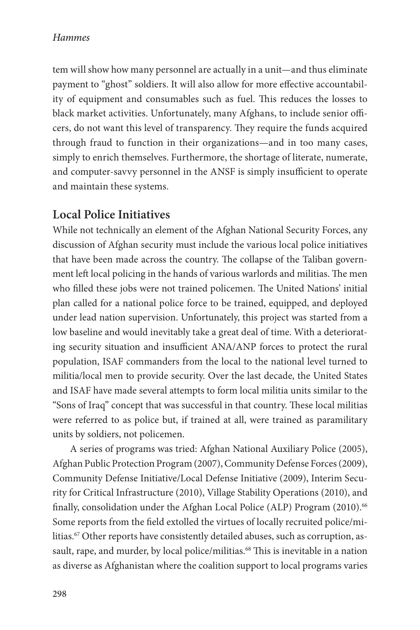tem will show how many personnel are actually in a unit—and thus eliminate payment to "ghost" soldiers. It will also allow for more effective accountability of equipment and consumables such as fuel. This reduces the losses to black market activities. Unfortunately, many Afghans, to include senior officers, do not want this level of transparency. They require the funds acquired through fraud to function in their organizations—and in too many cases, simply to enrich themselves. Furthermore, the shortage of literate, numerate, and computer-savvy personnel in the ANSF is simply insufficient to operate and maintain these systems.

# **Local Police Initiatives**

While not technically an element of the Afghan National Security Forces, any discussion of Afghan security must include the various local police initiatives that have been made across the country. The collapse of the Taliban government left local policing in the hands of various warlords and militias. The men who filled these jobs were not trained policemen. The United Nations' initial plan called for a national police force to be trained, equipped, and deployed under lead nation supervision. Unfortunately, this project was started from a low baseline and would inevitably take a great deal of time. With a deteriorating security situation and insufficient ANA/ANP forces to protect the rural population, ISAF commanders from the local to the national level turned to militia/local men to provide security. Over the last decade, the United States and ISAF have made several attempts to form local militia units similar to the "Sons of Iraq" concept that was successful in that country. These local militias were referred to as police but, if trained at all, were trained as paramilitary units by soldiers, not policemen.

A series of programs was tried: Afghan National Auxiliary Police (2005), Afghan Public Protection Program (2007), Community Defense Forces (2009), Community Defense Initiative/Local Defense Initiative (2009), Interim Security for Critical Infrastructure (2010), Village Stability Operations (2010), and finally, consolidation under the Afghan Local Police (ALP) Program (2010).<sup>66</sup> Some reports from the field extolled the virtues of locally recruited police/militias.<sup>67</sup> Other reports have consistently detailed abuses, such as corruption, assault, rape, and murder, by local police/militias.<sup>68</sup> This is inevitable in a nation as diverse as Afghanistan where the coalition support to local programs varies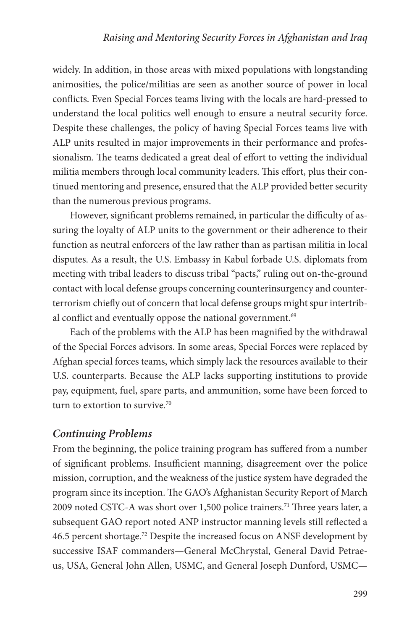widely. In addition, in those areas with mixed populations with longstanding animosities, the police/militias are seen as another source of power in local conflicts. Even Special Forces teams living with the locals are hard-pressed to understand the local politics well enough to ensure a neutral security force. Despite these challenges, the policy of having Special Forces teams live with ALP units resulted in major improvements in their performance and professionalism. The teams dedicated a great deal of effort to vetting the individual militia members through local community leaders. This effort, plus their continued mentoring and presence, ensured that the ALP provided better security than the numerous previous programs.

However, significant problems remained, in particular the difficulty of assuring the loyalty of ALP units to the government or their adherence to their function as neutral enforcers of the law rather than as partisan militia in local disputes. As a result, the U.S. Embassy in Kabul forbade U.S. diplomats from meeting with tribal leaders to discuss tribal "pacts," ruling out on-the-ground contact with local defense groups concerning counterinsurgency and counterterrorism chiefly out of concern that local defense groups might spur intertribal conflict and eventually oppose the national government.<sup>69</sup>

Each of the problems with the ALP has been magnified by the withdrawal of the Special Forces advisors. In some areas, Special Forces were replaced by Afghan special forces teams, which simply lack the resources available to their U.S. counterparts. Because the ALP lacks supporting institutions to provide pay, equipment, fuel, spare parts, and ammunition, some have been forced to turn to extortion to survive. $70$ 

# *Continuing Problems*

From the beginning, the police training program has suffered from a number of significant problems. Insufficient manning, disagreement over the police mission, corruption, and the weakness of the justice system have degraded the program since its inception. The GAO's Afghanistan Security Report of March 2009 noted CSTC-A was short over 1,500 police trainers.<sup>71</sup> Three years later, a subsequent GAO report noted ANP instructor manning levels still reflected a 46.5 percent shortage.72 Despite the increased focus on ANSF development by successive ISAF commanders—General McChrystal, General David Petraeus, USA, General John Allen, USMC, and General Joseph Dunford, USMC—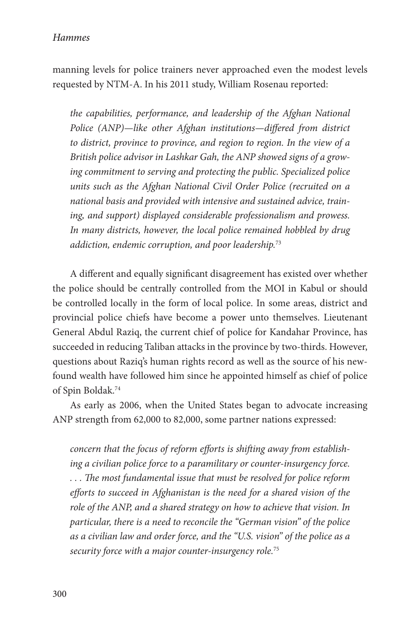manning levels for police trainers never approached even the modest levels requested by NTM-A. In his 2011 study, William Rosenau reported:

*the capabilities, performance, and leadership of the Afghan National Police (ANP)—like other Afghan institutions—differed from district to district, province to province, and region to region. In the view of a British police advisor in Lashkar Gah, the ANP showed signs of a growing commitment to serving and protecting the public. Specialized police units such as the Afghan National Civil Order Police (recruited on a national basis and provided with intensive and sustained advice, training, and support) displayed considerable professionalism and prowess. In many districts, however, the local police remained hobbled by drug addiction, endemic corruption, and poor leadership.*<sup>73</sup>

A different and equally significant disagreement has existed over whether the police should be centrally controlled from the MOI in Kabul or should be controlled locally in the form of local police. In some areas, district and provincial police chiefs have become a power unto themselves. Lieutenant General Abdul Raziq, the current chief of police for Kandahar Province, has succeeded in reducing Taliban attacks in the province by two-thirds. However, questions about Raziq's human rights record as well as the source of his newfound wealth have followed him since he appointed himself as chief of police of Spin Boldak.74

As early as 2006, when the United States began to advocate increasing ANP strength from 62,000 to 82,000, some partner nations expressed:

*concern that the focus of reform efforts is shifting away from establishing a civilian police force to a paramilitary or counter-insurgency force. . . . The most fundamental issue that must be resolved for police reform efforts to succeed in Afghanistan is the need for a shared vision of the role of the ANP, and a shared strategy on how to achieve that vision. In particular, there is a need to reconcile the "German vision" of the police as a civilian law and order force, and the "U.S. vision" of the police as a security force with a major counter-insurgency role.*75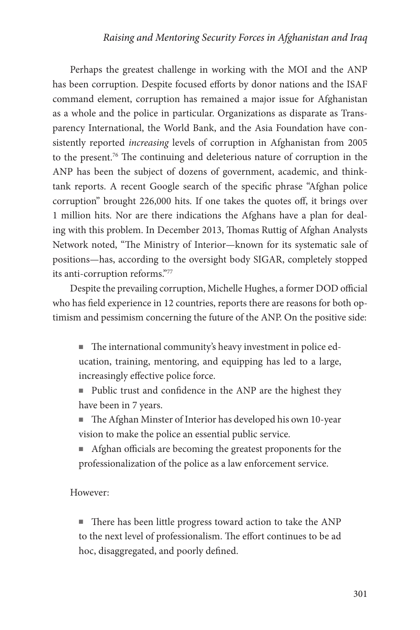Perhaps the greatest challenge in working with the MOI and the ANP has been corruption. Despite focused efforts by donor nations and the ISAF command element, corruption has remained a major issue for Afghanistan as a whole and the police in particular. Organizations as disparate as Transparency International, the World Bank, and the Asia Foundation have consistently reported *increasing* levels of corruption in Afghanistan from 2005 to the present.76 The continuing and deleterious nature of corruption in the ANP has been the subject of dozens of government, academic, and thinktank reports. A recent Google search of the specific phrase "Afghan police corruption" brought 226,000 hits. If one takes the quotes off, it brings over 1 million hits. Nor are there indications the Afghans have a plan for dealing with this problem. In December 2013, Thomas Ruttig of Afghan Analysts Network noted, "The Ministry of Interior—known for its systematic sale of positions—has, according to the oversight body SIGAR, completely stopped its anti-corruption reforms."77

Despite the prevailing corruption, Michelle Hughes, a former DOD official who has field experience in 12 countries, reports there are reasons for both optimism and pessimism concerning the future of the ANP. On the positive side:

- The international community's heavy investment in police education, training, mentoring, and equipping has led to a large, increasingly effective police force.
- Public trust and confidence in the ANP are the highest they have been in 7 years.
- The Afghan Minster of Interior has developed his own 10-year vision to make the police an essential public service.
- <sup>n</sup> Afghan officials are becoming the greatest proponents for the professionalization of the police as a law enforcement service.

However:

■ There has been little progress toward action to take the ANP to the next level of professionalism. The effort continues to be ad hoc, disaggregated, and poorly defined.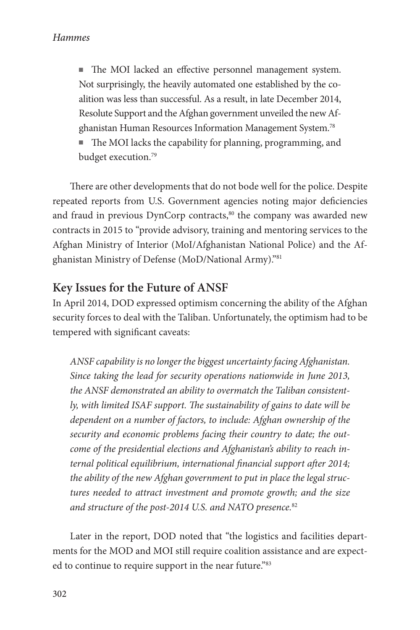<sup>n</sup> The MOI lacked an effective personnel management system. Not surprisingly, the heavily automated one established by the coalition was less than successful. As a result, in late December 2014, Resolute Support and the Afghan government unveiled the new Afghanistan Human Resources Information Management System.78 ■ The MOI lacks the capability for planning, programming, and budget execution.79

There are other developments that do not bode well for the police. Despite repeated reports from U.S. Government agencies noting major deficiencies and fraud in previous DynCorp contracts,<sup>80</sup> the company was awarded new contracts in 2015 to "provide advisory, training and mentoring services to the Afghan Ministry of Interior (MoI/Afghanistan National Police) and the Afghanistan Ministry of Defense (MoD/National Army)."81

# **Key Issues for the Future of ANSF**

In April 2014, DOD expressed optimism concerning the ability of the Afghan security forces to deal with the Taliban. Unfortunately, the optimism had to be tempered with significant caveats:

*ANSF capability is no longer the biggest uncertainty facing Afghanistan. Since taking the lead for security operations nationwide in June 2013, the ANSF demonstrated an ability to overmatch the Taliban consistently, with limited ISAF support. The sustainability of gains to date will be dependent on a number of factors, to include: Afghan ownership of the security and economic problems facing their country to date; the outcome of the presidential elections and Afghanistan's ability to reach internal political equilibrium, international financial support after 2014; the ability of the new Afghan government to put in place the legal structures needed to attract investment and promote growth; and the size and structure of the post-2014 U.S. and NATO presence.*<sup>82</sup>

Later in the report, DOD noted that "the logistics and facilities departments for the MOD and MOI still require coalition assistance and are expected to continue to require support in the near future."83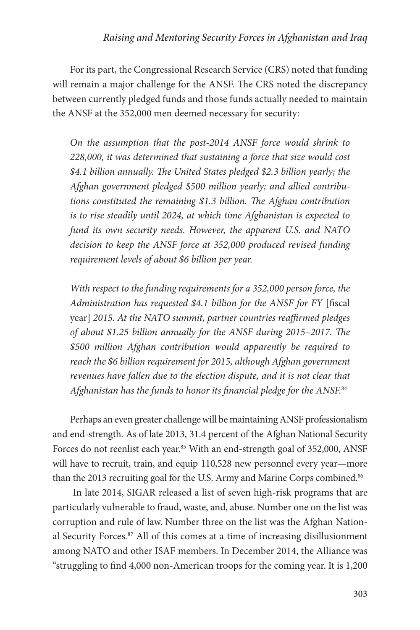For its part, the Congressional Research Service (CRS) noted that funding will remain a major challenge for the ANSF. The CRS noted the discrepancy between currently pledged funds and those funds actually needed to maintain the ANSF at the 352,000 men deemed necessary for security:

*On the assumption that the post-2014 ANSF force would shrink to 228,000, it was determined that sustaining a force that size would cost \$4.1 billion annually. The United States pledged \$2.3 billion yearly; the Afghan government pledged \$500 million yearly; and allied contributions constituted the remaining \$1.3 billion. The Afghan contribution is to rise steadily until 2024, at which time Afghanistan is expected to fund its own security needs. However, the apparent U.S. and NATO decision to keep the ANSF force at 352,000 produced revised funding requirement levels of about \$6 billion per year.*

*With respect to the funding requirements for a 352,000 person force, the Administration has requested \$4.1 billion for the ANSF for FY* [fiscal year] *2015. At the NATO summit, partner countries reaffirmed pledges of about \$1.25 billion annually for the ANSF during 2015–2017. The \$500 million Afghan contribution would apparently be required to reach the \$6 billion requirement for 2015, although Afghan government revenues have fallen due to the election dispute, and it is not clear that Afghanistan has the funds to honor its financial pledge for the ANSF.*<sup>84</sup>

Perhaps an even greater challenge will be maintaining ANSF professionalism and end-strength. As of late 2013, 31.4 percent of the Afghan National Security Forces do not reenlist each year.<sup>85</sup> With an end-strength goal of 352,000, ANSF will have to recruit, train, and equip 110,528 new personnel every year—more than the 2013 recruiting goal for the U.S. Army and Marine Corps combined.<sup>86</sup>

 In late 2014, SIGAR released a list of seven high-risk programs that are particularly vulnerable to fraud, waste, and, abuse. Number one on the list was corruption and rule of law. Number three on the list was the Afghan National Security Forces.<sup>87</sup> All of this comes at a time of increasing disillusionment among NATO and other ISAF members. In December 2014, the Alliance was "struggling to find 4,000 non-American troops for the coming year. It is 1,200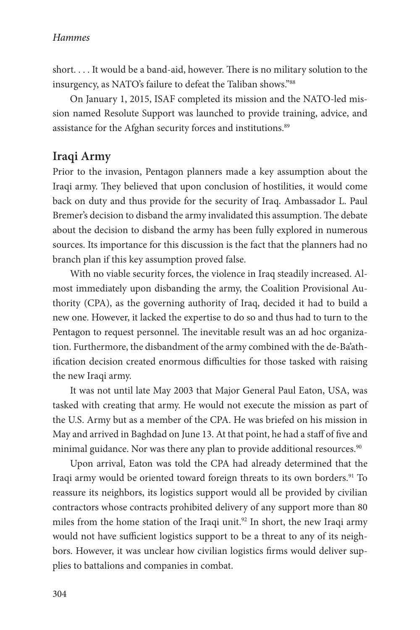short. . . . It would be a band-aid, however. There is no military solution to the insurgency, as NATO's failure to defeat the Taliban shows."88

On January 1, 2015, ISAF completed its mission and the NATO-led mission named Resolute Support was launched to provide training, advice, and assistance for the Afghan security forces and institutions.<sup>89</sup>

## **Iraqi Army**

Prior to the invasion, Pentagon planners made a key assumption about the Iraqi army. They believed that upon conclusion of hostilities, it would come back on duty and thus provide for the security of Iraq. Ambassador L. Paul Bremer's decision to disband the army invalidated this assumption. The debate about the decision to disband the army has been fully explored in numerous sources. Its importance for this discussion is the fact that the planners had no branch plan if this key assumption proved false.

With no viable security forces, the violence in Iraq steadily increased. Almost immediately upon disbanding the army, the Coalition Provisional Authority (CPA), as the governing authority of Iraq, decided it had to build a new one. However, it lacked the expertise to do so and thus had to turn to the Pentagon to request personnel. The inevitable result was an ad hoc organization. Furthermore, the disbandment of the army combined with the de-Ba'athification decision created enormous difficulties for those tasked with raising the new Iraqi army.

It was not until late May 2003 that Major General Paul Eaton, USA, was tasked with creating that army. He would not execute the mission as part of the U.S. Army but as a member of the CPA. He was briefed on his mission in May and arrived in Baghdad on June 13. At that point, he had a staff of five and minimal guidance. Nor was there any plan to provide additional resources.<sup>90</sup>

Upon arrival, Eaton was told the CPA had already determined that the Iraqi army would be oriented toward foreign threats to its own borders.<sup>91</sup> To reassure its neighbors, its logistics support would all be provided by civilian contractors whose contracts prohibited delivery of any support more than 80 miles from the home station of the Iraqi unit.<sup>92</sup> In short, the new Iraqi army would not have sufficient logistics support to be a threat to any of its neighbors. However, it was unclear how civilian logistics firms would deliver supplies to battalions and companies in combat.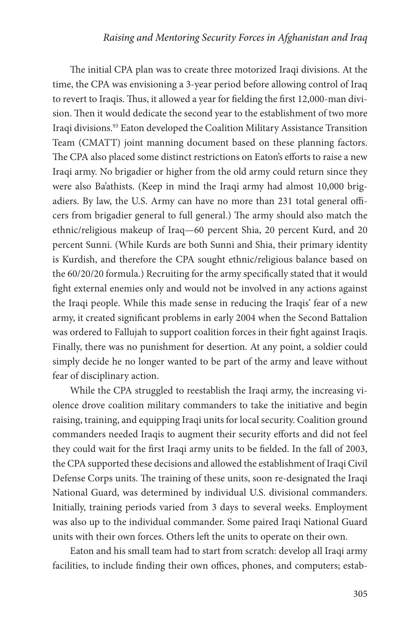The initial CPA plan was to create three motorized Iraqi divisions. At the time, the CPA was envisioning a 3-year period before allowing control of Iraq to revert to Iraqis. Thus, it allowed a year for fielding the first 12,000-man division. Then it would dedicate the second year to the establishment of two more Iraqi divisions.93 Eaton developed the Coalition Military Assistance Transition Team (CMATT) joint manning document based on these planning factors. The CPA also placed some distinct restrictions on Eaton's efforts to raise a new Iraqi army. No brigadier or higher from the old army could return since they were also Ba'athists. (Keep in mind the Iraqi army had almost 10,000 brigadiers. By law, the U.S. Army can have no more than 231 total general officers from brigadier general to full general.) The army should also match the ethnic/religious makeup of Iraq—60 percent Shia, 20 percent Kurd, and 20 percent Sunni. (While Kurds are both Sunni and Shia, their primary identity is Kurdish, and therefore the CPA sought ethnic/religious balance based on the 60/20/20 formula.) Recruiting for the army specifically stated that it would fight external enemies only and would not be involved in any actions against the Iraqi people. While this made sense in reducing the Iraqis' fear of a new army, it created significant problems in early 2004 when the Second Battalion was ordered to Fallujah to support coalition forces in their fight against Iraqis. Finally, there was no punishment for desertion. At any point, a soldier could simply decide he no longer wanted to be part of the army and leave without fear of disciplinary action.

While the CPA struggled to reestablish the Iraqi army, the increasing violence drove coalition military commanders to take the initiative and begin raising, training, and equipping Iraqi units for local security. Coalition ground commanders needed Iraqis to augment their security efforts and did not feel they could wait for the first Iraqi army units to be fielded. In the fall of 2003, the CPA supported these decisions and allowed the establishment of Iraqi Civil Defense Corps units. The training of these units, soon re-designated the Iraqi National Guard, was determined by individual U.S. divisional commanders. Initially, training periods varied from 3 days to several weeks. Employment was also up to the individual commander. Some paired Iraqi National Guard units with their own forces. Others left the units to operate on their own.

Eaton and his small team had to start from scratch: develop all Iraqi army facilities, to include finding their own offices, phones, and computers; estab-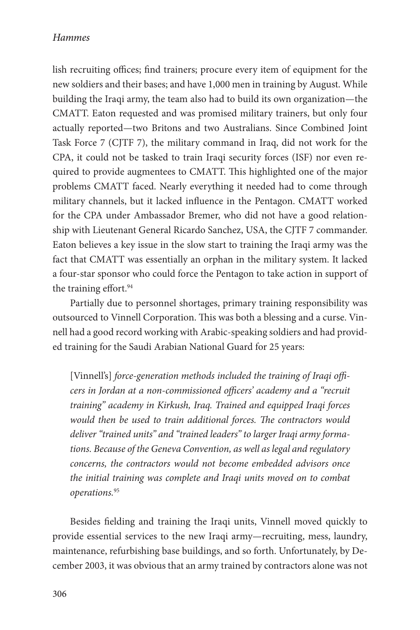lish recruiting offices; find trainers; procure every item of equipment for the new soldiers and their bases; and have 1,000 men in training by August. While building the Iraqi army, the team also had to build its own organization—the CMATT. Eaton requested and was promised military trainers, but only four actually reported—two Britons and two Australians. Since Combined Joint Task Force 7 (CJTF 7), the military command in Iraq, did not work for the CPA, it could not be tasked to train Iraqi security forces (ISF) nor even required to provide augmentees to CMATT. This highlighted one of the major problems CMATT faced. Nearly everything it needed had to come through military channels, but it lacked influence in the Pentagon. CMATT worked for the CPA under Ambassador Bremer, who did not have a good relationship with Lieutenant General Ricardo Sanchez, USA, the CJTF 7 commander. Eaton believes a key issue in the slow start to training the Iraqi army was the fact that CMATT was essentially an orphan in the military system. It lacked a four-star sponsor who could force the Pentagon to take action in support of the training effort.<sup>94</sup>

Partially due to personnel shortages, primary training responsibility was outsourced to Vinnell Corporation. This was both a blessing and a curse. Vinnell had a good record working with Arabic-speaking soldiers and had provided training for the Saudi Arabian National Guard for 25 years:

[Vinnell's] *force-generation methods included the training of Iraqi officers in Jordan at a non-commissioned officers' academy and a "recruit training" academy in Kirkush, Iraq. Trained and equipped Iraqi forces would then be used to train additional forces. The contractors would deliver "trained units" and "trained leaders" to larger Iraqi army formations. Because of the Geneva Convention, as well as legal and regulatory concerns, the contractors would not become embedded advisors once the initial training was complete and Iraqi units moved on to combat operations.*<sup>95</sup>

Besides fielding and training the Iraqi units, Vinnell moved quickly to provide essential services to the new Iraqi army—recruiting, mess, laundry, maintenance, refurbishing base buildings, and so forth. Unfortunately, by December 2003, it was obvious that an army trained by contractors alone was not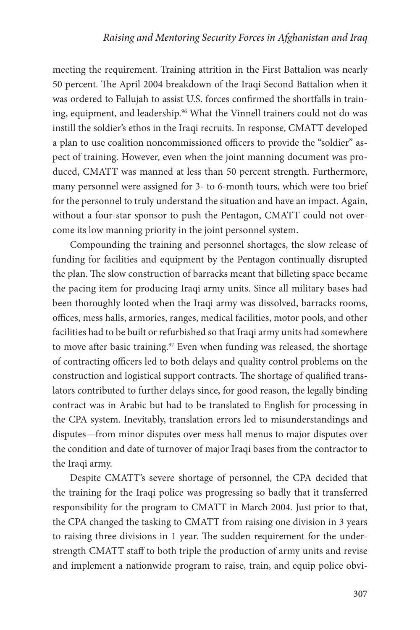meeting the requirement. Training attrition in the First Battalion was nearly 50 percent. The April 2004 breakdown of the Iraqi Second Battalion when it was ordered to Fallujah to assist U.S. forces confirmed the shortfalls in training, equipment, and leadership.<sup>96</sup> What the Vinnell trainers could not do was instill the soldier's ethos in the Iraqi recruits. In response, CMATT developed a plan to use coalition noncommissioned officers to provide the "soldier" aspect of training. However, even when the joint manning document was produced, CMATT was manned at less than 50 percent strength. Furthermore, many personnel were assigned for 3- to 6-month tours, which were too brief for the personnel to truly understand the situation and have an impact. Again, without a four-star sponsor to push the Pentagon, CMATT could not overcome its low manning priority in the joint personnel system.

Compounding the training and personnel shortages, the slow release of funding for facilities and equipment by the Pentagon continually disrupted the plan. The slow construction of barracks meant that billeting space became the pacing item for producing Iraqi army units. Since all military bases had been thoroughly looted when the Iraqi army was dissolved, barracks rooms, offices, mess halls, armories, ranges, medical facilities, motor pools, and other facilities had to be built or refurbished so that Iraqi army units had somewhere to move after basic training.<sup>97</sup> Even when funding was released, the shortage of contracting officers led to both delays and quality control problems on the construction and logistical support contracts. The shortage of qualified translators contributed to further delays since, for good reason, the legally binding contract was in Arabic but had to be translated to English for processing in the CPA system. Inevitably, translation errors led to misunderstandings and disputes—from minor disputes over mess hall menus to major disputes over the condition and date of turnover of major Iraqi bases from the contractor to the Iraqi army.

Despite CMATT's severe shortage of personnel, the CPA decided that the training for the Iraqi police was progressing so badly that it transferred responsibility for the program to CMATT in March 2004. Just prior to that, the CPA changed the tasking to CMATT from raising one division in 3 years to raising three divisions in 1 year. The sudden requirement for the understrength CMATT staff to both triple the production of army units and revise and implement a nationwide program to raise, train, and equip police obvi-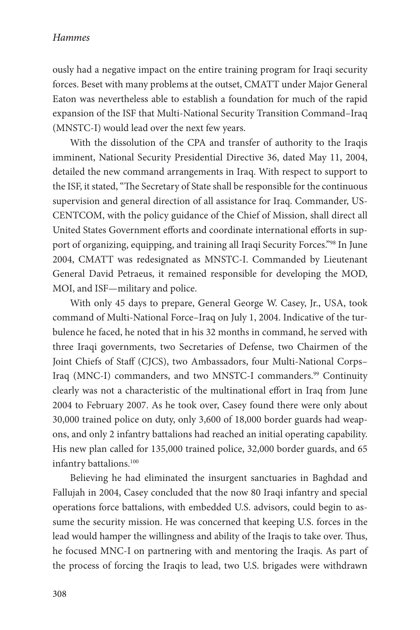ously had a negative impact on the entire training program for Iraqi security forces. Beset with many problems at the outset, CMATT under Major General Eaton was nevertheless able to establish a foundation for much of the rapid expansion of the ISF that Multi-National Security Transition Command–Iraq (MNSTC-I) would lead over the next few years.

With the dissolution of the CPA and transfer of authority to the Iraqis imminent, National Security Presidential Directive 36, dated May 11, 2004, detailed the new command arrangements in Iraq. With respect to support to the ISF, it stated, "The Secretary of State shall be responsible for the continuous supervision and general direction of all assistance for Iraq. Commander, US-CENTCOM, with the policy guidance of the Chief of Mission, shall direct all United States Government efforts and coordinate international efforts in support of organizing, equipping, and training all Iraqi Security Forces."98 In June 2004, CMATT was redesignated as MNSTC-I. Commanded by Lieutenant General David Petraeus, it remained responsible for developing the MOD, MOI, and ISF—military and police.

With only 45 days to prepare, General George W. Casey, Jr., USA, took command of Multi-National Force–Iraq on July 1, 2004. Indicative of the turbulence he faced, he noted that in his 32 months in command, he served with three Iraqi governments, two Secretaries of Defense, two Chairmen of the Joint Chiefs of Staff (CJCS), two Ambassadors, four Multi-National Corps– Iraq (MNC-I) commanders, and two MNSTC-I commanders.<sup>99</sup> Continuity clearly was not a characteristic of the multinational effort in Iraq from June 2004 to February 2007. As he took over, Casey found there were only about 30,000 trained police on duty, only 3,600 of 18,000 border guards had weapons, and only 2 infantry battalions had reached an initial operating capability. His new plan called for 135,000 trained police, 32,000 border guards, and 65 infantry battalions.100

Believing he had eliminated the insurgent sanctuaries in Baghdad and Fallujah in 2004, Casey concluded that the now 80 Iraqi infantry and special operations force battalions, with embedded U.S. advisors, could begin to assume the security mission. He was concerned that keeping U.S. forces in the lead would hamper the willingness and ability of the Iraqis to take over. Thus, he focused MNC-I on partnering with and mentoring the Iraqis. As part of the process of forcing the Iraqis to lead, two U.S. brigades were withdrawn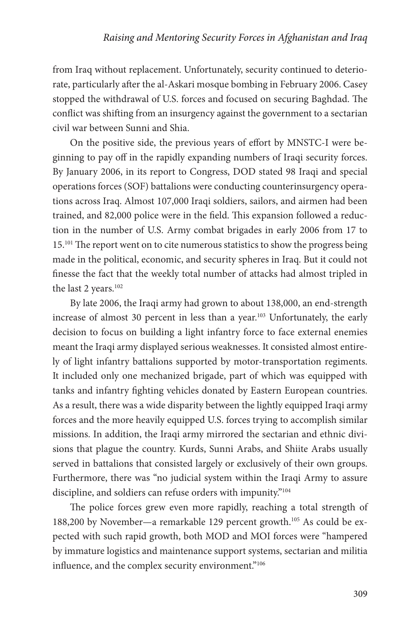from Iraq without replacement. Unfortunately, security continued to deteriorate, particularly after the al-Askari mosque bombing in February 2006. Casey stopped the withdrawal of U.S. forces and focused on securing Baghdad. The conflict was shifting from an insurgency against the government to a sectarian civil war between Sunni and Shia.

On the positive side, the previous years of effort by MNSTC-I were beginning to pay off in the rapidly expanding numbers of Iraqi security forces. By January 2006, in its report to Congress, DOD stated 98 Iraqi and special operations forces (SOF) battalions were conducting counterinsurgency operations across Iraq. Almost 107,000 Iraqi soldiers, sailors, and airmen had been trained, and 82,000 police were in the field. This expansion followed a reduction in the number of U.S. Army combat brigades in early 2006 from 17 to 15.<sup>101</sup> The report went on to cite numerous statistics to show the progress being made in the political, economic, and security spheres in Iraq. But it could not finesse the fact that the weekly total number of attacks had almost tripled in the last 2 years.<sup>102</sup>

By late 2006, the Iraqi army had grown to about 138,000, an end-strength increase of almost 30 percent in less than a year.<sup>103</sup> Unfortunately, the early decision to focus on building a light infantry force to face external enemies meant the Iraqi army displayed serious weaknesses. It consisted almost entirely of light infantry battalions supported by motor-transportation regiments. It included only one mechanized brigade, part of which was equipped with tanks and infantry fighting vehicles donated by Eastern European countries. As a result, there was a wide disparity between the lightly equipped Iraqi army forces and the more heavily equipped U.S. forces trying to accomplish similar missions. In addition, the Iraqi army mirrored the sectarian and ethnic divisions that plague the country. Kurds, Sunni Arabs, and Shiite Arabs usually served in battalions that consisted largely or exclusively of their own groups. Furthermore, there was "no judicial system within the Iraqi Army to assure discipline, and soldiers can refuse orders with impunity."104

The police forces grew even more rapidly, reaching a total strength of 188,200 by November—a remarkable 129 percent growth.<sup>105</sup> As could be expected with such rapid growth, both MOD and MOI forces were "hampered by immature logistics and maintenance support systems, sectarian and militia influence, and the complex security environment."<sup>106</sup>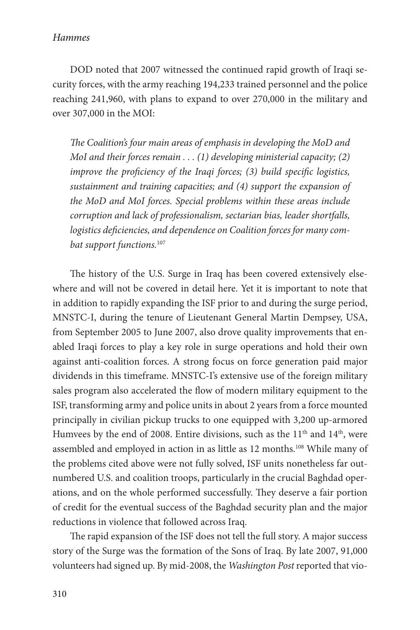DOD noted that 2007 witnessed the continued rapid growth of Iraqi security forces, with the army reaching 194,233 trained personnel and the police reaching 241,960, with plans to expand to over 270,000 in the military and over 307,000 in the MOI:

*The Coalition's four main areas of emphasis in developing the MoD and MoI and their forces remain . . . (1) developing ministerial capacity; (2) improve the proficiency of the Iraqi forces; (3) build specific logistics, sustainment and training capacities; and (4) support the expansion of the MoD and MoI forces. Special problems within these areas include corruption and lack of professionalism, sectarian bias, leader shortfalls, logistics deficiencies, and dependence on Coalition forces for many combat support functions.*<sup>107</sup>

The history of the U.S. Surge in Iraq has been covered extensively elsewhere and will not be covered in detail here. Yet it is important to note that in addition to rapidly expanding the ISF prior to and during the surge period, MNSTC-I, during the tenure of Lieutenant General Martin Dempsey, USA, from September 2005 to June 2007, also drove quality improvements that enabled Iraqi forces to play a key role in surge operations and hold their own against anti-coalition forces. A strong focus on force generation paid major dividends in this timeframe. MNSTC-I's extensive use of the foreign military sales program also accelerated the flow of modern military equipment to the ISF, transforming army and police units in about 2 years from a force mounted principally in civilian pickup trucks to one equipped with 3,200 up-armored Humvees by the end of 2008. Entire divisions, such as the 11<sup>th</sup> and 14<sup>th</sup>, were assembled and employed in action in as little as 12 months.108 While many of the problems cited above were not fully solved, ISF units nonetheless far outnumbered U.S. and coalition troops, particularly in the crucial Baghdad operations, and on the whole performed successfully. They deserve a fair portion of credit for the eventual success of the Baghdad security plan and the major reductions in violence that followed across Iraq.

The rapid expansion of the ISF does not tell the full story. A major success story of the Surge was the formation of the Sons of Iraq. By late 2007, 91,000 volunteers had signed up. By mid-2008, the *Washington Post* reported that vio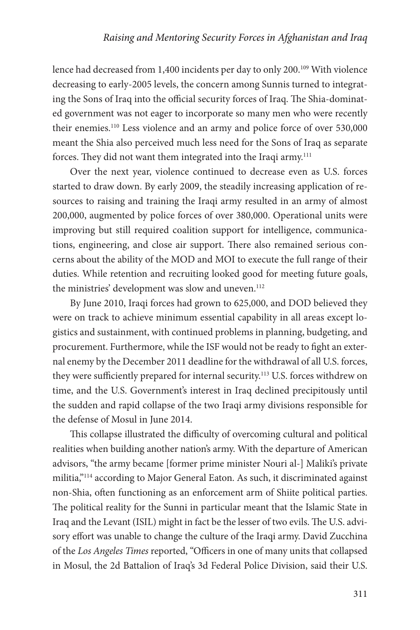lence had decreased from 1,400 incidents per day to only 200.<sup>109</sup> With violence decreasing to early-2005 levels, the concern among Sunnis turned to integrating the Sons of Iraq into the official security forces of Iraq. The Shia-dominated government was not eager to incorporate so many men who were recently their enemies.<sup>110</sup> Less violence and an army and police force of over 530,000 meant the Shia also perceived much less need for the Sons of Iraq as separate forces. They did not want them integrated into the Iraqi army.<sup>111</sup>

Over the next year, violence continued to decrease even as U.S. forces started to draw down. By early 2009, the steadily increasing application of resources to raising and training the Iraqi army resulted in an army of almost 200,000, augmented by police forces of over 380,000. Operational units were improving but still required coalition support for intelligence, communications, engineering, and close air support. There also remained serious concerns about the ability of the MOD and MOI to execute the full range of their duties. While retention and recruiting looked good for meeting future goals, the ministries' development was slow and uneven.<sup>112</sup>

By June 2010, Iraqi forces had grown to 625,000, and DOD believed they were on track to achieve minimum essential capability in all areas except logistics and sustainment, with continued problems in planning, budgeting, and procurement. Furthermore, while the ISF would not be ready to fight an external enemy by the December 2011 deadline for the withdrawal of all U.S. forces, they were sufficiently prepared for internal security.113 U.S. forces withdrew on time, and the U.S. Government's interest in Iraq declined precipitously until the sudden and rapid collapse of the two Iraqi army divisions responsible for the defense of Mosul in June 2014.

This collapse illustrated the difficulty of overcoming cultural and political realities when building another nation's army. With the departure of American advisors, "the army became [former prime minister Nouri al-] Maliki's private militia,"114 according to Major General Eaton. As such, it discriminated against non-Shia, often functioning as an enforcement arm of Shiite political parties. The political reality for the Sunni in particular meant that the Islamic State in Iraq and the Levant (ISIL) might in fact be the lesser of two evils. The U.S. advisory effort was unable to change the culture of the Iraqi army. David Zucchina of the *Los Angeles Times* reported, "Officers in one of many units that collapsed in Mosul, the 2d Battalion of Iraq's 3d Federal Police Division, said their U.S.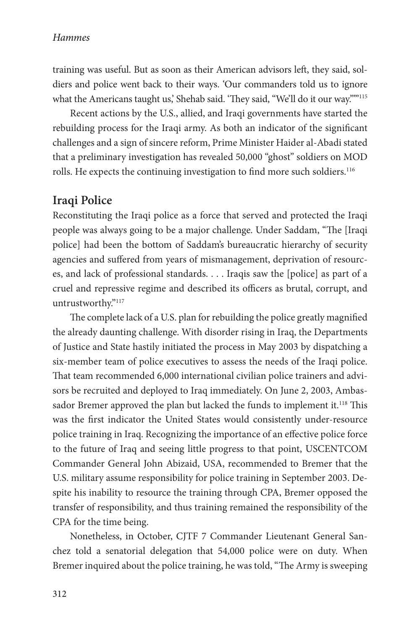training was useful. But as soon as their American advisors left, they said, soldiers and police went back to their ways. 'Our commanders told us to ignore what the Americans taught us,' Shehab said. 'They said, "We'll do it our way.""<sup>115</sup>

Recent actions by the U.S., allied, and Iraqi governments have started the rebuilding process for the Iraqi army. As both an indicator of the significant challenges and a sign of sincere reform, Prime Minister Haider al-Abadi stated that a preliminary investigation has revealed 50,000 "ghost" soldiers on MOD rolls. He expects the continuing investigation to find more such soldiers.<sup>116</sup>

# **Iraqi Police**

Reconstituting the Iraqi police as a force that served and protected the Iraqi people was always going to be a major challenge. Under Saddam, "The [Iraqi police] had been the bottom of Saddam's bureaucratic hierarchy of security agencies and suffered from years of mismanagement, deprivation of resources, and lack of professional standards. . . . Iraqis saw the [police] as part of a cruel and repressive regime and described its officers as brutal, corrupt, and untrustworthy."117

The complete lack of a U.S. plan for rebuilding the police greatly magnified the already daunting challenge. With disorder rising in Iraq, the Departments of Justice and State hastily initiated the process in May 2003 by dispatching a six-member team of police executives to assess the needs of the Iraqi police. That team recommended 6,000 international civilian police trainers and advisors be recruited and deployed to Iraq immediately. On June 2, 2003, Ambassador Bremer approved the plan but lacked the funds to implement it.<sup>118</sup> This was the first indicator the United States would consistently under-resource police training in Iraq. Recognizing the importance of an effective police force to the future of Iraq and seeing little progress to that point, USCENTCOM Commander General John Abizaid, USA, recommended to Bremer that the U.S. military assume responsibility for police training in September 2003. Despite his inability to resource the training through CPA, Bremer opposed the transfer of responsibility, and thus training remained the responsibility of the CPA for the time being.

Nonetheless, in October, CJTF 7 Commander Lieutenant General Sanchez told a senatorial delegation that 54,000 police were on duty. When Bremer inquired about the police training, he was told, "The Army is sweeping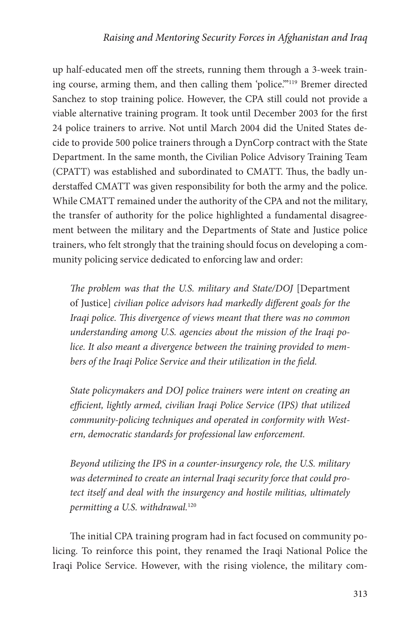up half-educated men off the streets, running them through a 3-week training course, arming them, and then calling them 'police.'"119 Bremer directed Sanchez to stop training police. However, the CPA still could not provide a viable alternative training program. It took until December 2003 for the first 24 police trainers to arrive. Not until March 2004 did the United States decide to provide 500 police trainers through a DynCorp contract with the State Department. In the same month, the Civilian Police Advisory Training Team (CPATT) was established and subordinated to CMATT. Thus, the badly understaffed CMATT was given responsibility for both the army and the police. While CMATT remained under the authority of the CPA and not the military, the transfer of authority for the police highlighted a fundamental disagreement between the military and the Departments of State and Justice police trainers, who felt strongly that the training should focus on developing a community policing service dedicated to enforcing law and order:

*The problem was that the U.S. military and State/DOJ* [Department of Justice] *civilian police advisors had markedly different goals for the Iraqi police. This divergence of views meant that there was no common understanding among U.S. agencies about the mission of the Iraqi police. It also meant a divergence between the training provided to members of the Iraqi Police Service and their utilization in the field.*

*State policymakers and DOJ police trainers were intent on creating an efficient, lightly armed, civilian Iraqi Police Service (IPS) that utilized community-policing techniques and operated in conformity with Western, democratic standards for professional law enforcement.*

*Beyond utilizing the IPS in a counter-insurgency role, the U.S. military was determined to create an internal Iraqi security force that could protect itself and deal with the insurgency and hostile militias, ultimately permitting a U.S. withdrawal.*<sup>120</sup>

The initial CPA training program had in fact focused on community policing. To reinforce this point, they renamed the Iraqi National Police the Iraqi Police Service. However, with the rising violence, the military com-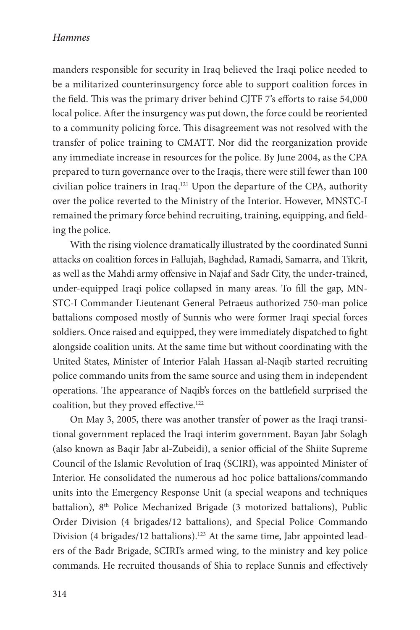manders responsible for security in Iraq believed the Iraqi police needed to be a militarized counterinsurgency force able to support coalition forces in the field. This was the primary driver behind CJTF 7's efforts to raise 54,000 local police. After the insurgency was put down, the force could be reoriented to a community policing force. This disagreement was not resolved with the transfer of police training to CMATT. Nor did the reorganization provide any immediate increase in resources for the police. By June 2004, as the CPA prepared to turn governance over to the Iraqis, there were still fewer than 100 civilian police trainers in Iraq.121 Upon the departure of the CPA, authority over the police reverted to the Ministry of the Interior. However, MNSTC-I remained the primary force behind recruiting, training, equipping, and fielding the police.

With the rising violence dramatically illustrated by the coordinated Sunni attacks on coalition forces in Fallujah, Baghdad, Ramadi, Samarra, and Tikrit, as well as the Mahdi army offensive in Najaf and Sadr City, the under-trained, under-equipped Iraqi police collapsed in many areas. To fill the gap, MN-STC-I Commander Lieutenant General Petraeus authorized 750-man police battalions composed mostly of Sunnis who were former Iraqi special forces soldiers. Once raised and equipped, they were immediately dispatched to fight alongside coalition units. At the same time but without coordinating with the United States, Minister of Interior Falah Hassan al-Naqib started recruiting police commando units from the same source and using them in independent operations. The appearance of Naqib's forces on the battlefield surprised the coalition, but they proved effective.<sup>122</sup>

On May 3, 2005, there was another transfer of power as the Iraqi transitional government replaced the Iraqi interim government. Bayan Jabr Solagh (also known as Baqir Jabr al-Zubeidi), a senior official of the Shiite Supreme Council of the Islamic Revolution of Iraq (SCIRI), was appointed Minister of Interior. He consolidated the numerous ad hoc police battalions/commando units into the Emergency Response Unit (a special weapons and techniques battalion), 8<sup>th</sup> Police Mechanized Brigade (3 motorized battalions), Public Order Division (4 brigades/12 battalions), and Special Police Commando Division (4 brigades/12 battalions).<sup>123</sup> At the same time, Jabr appointed leaders of the Badr Brigade, SCIRI's armed wing, to the ministry and key police commands. He recruited thousands of Shia to replace Sunnis and effectively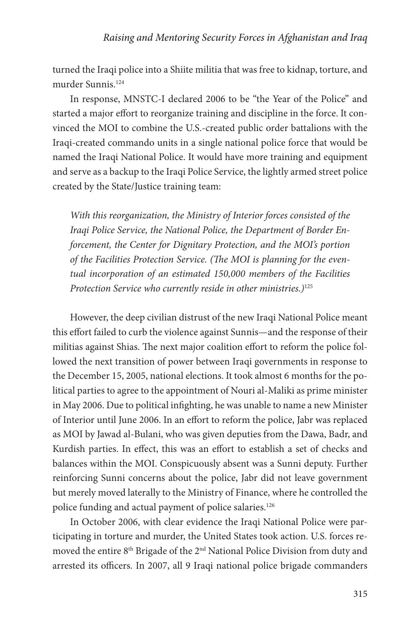turned the Iraqi police into a Shiite militia that was free to kidnap, torture, and murder Sunnis.124

In response, MNSTC-I declared 2006 to be "the Year of the Police" and started a major effort to reorganize training and discipline in the force. It convinced the MOI to combine the U.S.-created public order battalions with the Iraqi-created commando units in a single national police force that would be named the Iraqi National Police. It would have more training and equipment and serve as a backup to the Iraqi Police Service, the lightly armed street police created by the State/Justice training team:

*With this reorganization, the Ministry of Interior forces consisted of the Iraqi Police Service, the National Police, the Department of Border Enforcement, the Center for Dignitary Protection, and the MOI's portion of the Facilities Protection Service. (The MOI is planning for the eventual incorporation of an estimated 150,000 members of the Facilities Protection Service who currently reside in other ministries.)*<sup>125</sup>

However, the deep civilian distrust of the new Iraqi National Police meant this effort failed to curb the violence against Sunnis—and the response of their militias against Shias. The next major coalition effort to reform the police followed the next transition of power between Iraqi governments in response to the December 15, 2005, national elections. It took almost 6 months for the political parties to agree to the appointment of Nouri al-Maliki as prime minister in May 2006. Due to political infighting, he was unable to name a new Minister of Interior until June 2006. In an effort to reform the police, Jabr was replaced as MOI by Jawad al-Bulani, who was given deputies from the Dawa, Badr, and Kurdish parties. In effect, this was an effort to establish a set of checks and balances within the MOI. Conspicuously absent was a Sunni deputy. Further reinforcing Sunni concerns about the police, Jabr did not leave government but merely moved laterally to the Ministry of Finance, where he controlled the police funding and actual payment of police salaries.<sup>126</sup>

In October 2006, with clear evidence the Iraqi National Police were participating in torture and murder, the United States took action. U.S. forces removed the entire 8<sup>th</sup> Brigade of the 2<sup>nd</sup> National Police Division from duty and arrested its officers. In 2007, all 9 Iraqi national police brigade commanders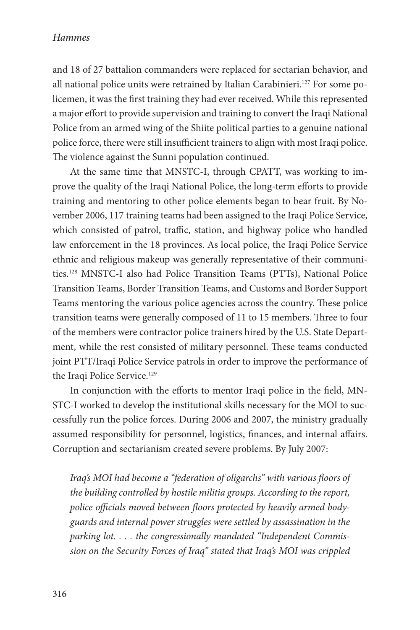and 18 of 27 battalion commanders were replaced for sectarian behavior, and all national police units were retrained by Italian Carabinieri.<sup>127</sup> For some policemen, it was the first training they had ever received. While this represented a major effort to provide supervision and training to convert the Iraqi National Police from an armed wing of the Shiite political parties to a genuine national police force, there were still insufficient trainers to align with most Iraqi police. The violence against the Sunni population continued.

At the same time that MNSTC-I, through CPATT, was working to improve the quality of the Iraqi National Police, the long-term efforts to provide training and mentoring to other police elements began to bear fruit. By November 2006, 117 training teams had been assigned to the Iraqi Police Service, which consisted of patrol, traffic, station, and highway police who handled law enforcement in the 18 provinces. As local police, the Iraqi Police Service ethnic and religious makeup was generally representative of their communities.128 MNSTC-I also had Police Transition Teams (PTTs), National Police Transition Teams, Border Transition Teams, and Customs and Border Support Teams mentoring the various police agencies across the country. These police transition teams were generally composed of 11 to 15 members. Three to four of the members were contractor police trainers hired by the U.S. State Department, while the rest consisted of military personnel. These teams conducted joint PTT/Iraqi Police Service patrols in order to improve the performance of the Iraqi Police Service.<sup>129</sup>

In conjunction with the efforts to mentor Iraqi police in the field, MN-STC-I worked to develop the institutional skills necessary for the MOI to successfully run the police forces. During 2006 and 2007, the ministry gradually assumed responsibility for personnel, logistics, finances, and internal affairs. Corruption and sectarianism created severe problems. By July 2007:

*Iraq's MOI had become a "federation of oligarchs" with various floors of the building controlled by hostile militia groups. According to the report, police officials moved between floors protected by heavily armed bodyguards and internal power struggles were settled by assassination in the parking lot. . . . the congressionally mandated "Independent Commission on the Security Forces of Iraq" stated that Iraq's MOI was crippled*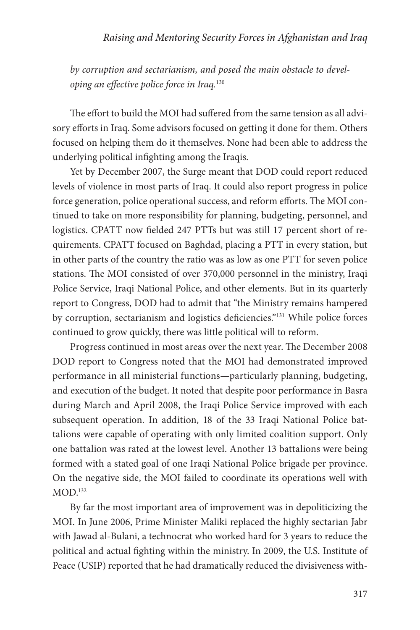*by corruption and sectarianism, and posed the main obstacle to developing an effective police force in Iraq.*<sup>130</sup>

The effort to build the MOI had suffered from the same tension as all advisory efforts in Iraq. Some advisors focused on getting it done for them. Others focused on helping them do it themselves. None had been able to address the underlying political infighting among the Iraqis.

Yet by December 2007, the Surge meant that DOD could report reduced levels of violence in most parts of Iraq. It could also report progress in police force generation, police operational success, and reform efforts. The MOI continued to take on more responsibility for planning, budgeting, personnel, and logistics. CPATT now fielded 247 PTTs but was still 17 percent short of requirements. CPATT focused on Baghdad, placing a PTT in every station, but in other parts of the country the ratio was as low as one PTT for seven police stations. The MOI consisted of over 370,000 personnel in the ministry, Iraqi Police Service, Iraqi National Police, and other elements. But in its quarterly report to Congress, DOD had to admit that "the Ministry remains hampered by corruption, sectarianism and logistics deficiencies."131 While police forces continued to grow quickly, there was little political will to reform.

Progress continued in most areas over the next year. The December 2008 DOD report to Congress noted that the MOI had demonstrated improved performance in all ministerial functions—particularly planning, budgeting, and execution of the budget. It noted that despite poor performance in Basra during March and April 2008, the Iraqi Police Service improved with each subsequent operation. In addition, 18 of the 33 Iraqi National Police battalions were capable of operating with only limited coalition support. Only one battalion was rated at the lowest level. Another 13 battalions were being formed with a stated goal of one Iraqi National Police brigade per province. On the negative side, the MOI failed to coordinate its operations well with  $MOD$ <sup>132</sup>

By far the most important area of improvement was in depoliticizing the MOI. In June 2006, Prime Minister Maliki replaced the highly sectarian Jabr with Jawad al-Bulani, a technocrat who worked hard for 3 years to reduce the political and actual fighting within the ministry. In 2009, the U.S. Institute of Peace (USIP) reported that he had dramatically reduced the divisiveness with-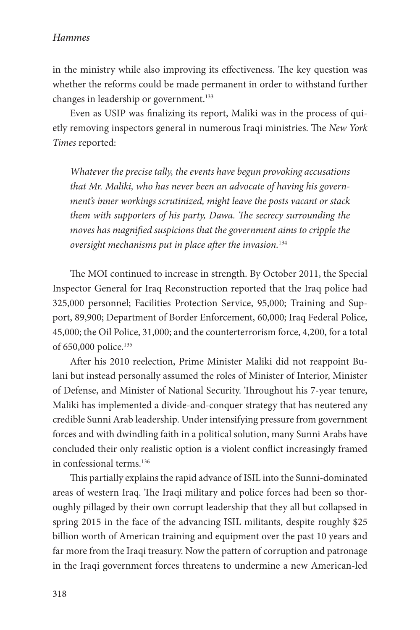in the ministry while also improving its effectiveness. The key question was whether the reforms could be made permanent in order to withstand further changes in leadership or government.<sup>133</sup>

Even as USIP was finalizing its report, Maliki was in the process of quietly removing inspectors general in numerous Iraqi ministries. The *New York Times* reported:

*Whatever the precise tally, the events have begun provoking accusations that Mr. Maliki, who has never been an advocate of having his government's inner workings scrutinized, might leave the posts vacant or stack them with supporters of his party, Dawa. The secrecy surrounding the moves has magnified suspicions that the government aims to cripple the oversight mechanisms put in place after the invasion.*<sup>134</sup>

The MOI continued to increase in strength. By October 2011, the Special Inspector General for Iraq Reconstruction reported that the Iraq police had 325,000 personnel; Facilities Protection Service, 95,000; Training and Support, 89,900; Department of Border Enforcement, 60,000; Iraq Federal Police, 45,000; the Oil Police, 31,000; and the counterterrorism force, 4,200, for a total of 650,000 police.135

After his 2010 reelection, Prime Minister Maliki did not reappoint Bulani but instead personally assumed the roles of Minister of Interior, Minister of Defense, and Minister of National Security. Throughout his 7-year tenure, Maliki has implemented a divide-and-conquer strategy that has neutered any credible Sunni Arab leadership. Under intensifying pressure from government forces and with dwindling faith in a political solution, many Sunni Arabs have concluded their only realistic option is a violent conflict increasingly framed in confessional terms.<sup>136</sup>

This partially explains the rapid advance of ISIL into the Sunni-dominated areas of western Iraq. The Iraqi military and police forces had been so thoroughly pillaged by their own corrupt leadership that they all but collapsed in spring 2015 in the face of the advancing ISIL militants, despite roughly \$25 billion worth of American training and equipment over the past 10 years and far more from the Iraqi treasury. Now the pattern of corruption and patronage in the Iraqi government forces threatens to undermine a new American-led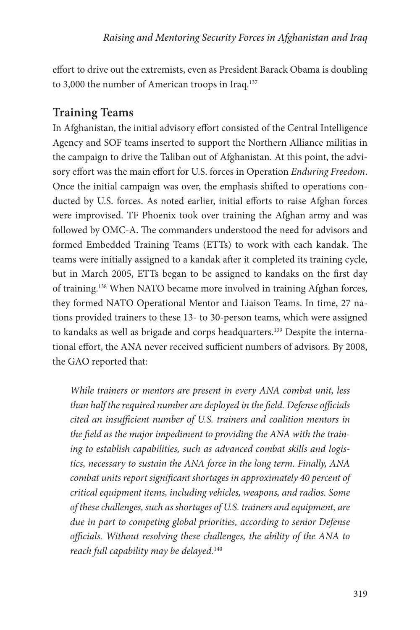effort to drive out the extremists, even as President Barack Obama is doubling to 3,000 the number of American troops in Iraq.<sup>137</sup>

# **Training Teams**

In Afghanistan, the initial advisory effort consisted of the Central Intelligence Agency and SOF teams inserted to support the Northern Alliance militias in the campaign to drive the Taliban out of Afghanistan. At this point, the advisory effort was the main effort for U.S. forces in Operation *Enduring Freedom*. Once the initial campaign was over, the emphasis shifted to operations conducted by U.S. forces. As noted earlier, initial efforts to raise Afghan forces were improvised. TF Phoenix took over training the Afghan army and was followed by OMC-A. The commanders understood the need for advisors and formed Embedded Training Teams (ETTs) to work with each kandak. The teams were initially assigned to a kandak after it completed its training cycle, but in March 2005, ETTs began to be assigned to kandaks on the first day of training.138 When NATO became more involved in training Afghan forces, they formed NATO Operational Mentor and Liaison Teams. In time, 27 nations provided trainers to these 13- to 30-person teams, which were assigned to kandaks as well as brigade and corps headquarters.139 Despite the international effort, the ANA never received sufficient numbers of advisors. By 2008, the GAO reported that:

*While trainers or mentors are present in every ANA combat unit, less than half the required number are deployed in the field. Defense officials cited an insufficient number of U.S. trainers and coalition mentors in the field as the major impediment to providing the ANA with the training to establish capabilities, such as advanced combat skills and logistics, necessary to sustain the ANA force in the long term. Finally, ANA combat units report significant shortages in approximately 40 percent of critical equipment items, including vehicles, weapons, and radios. Some of these challenges, such as shortages of U.S. trainers and equipment, are due in part to competing global priorities, according to senior Defense officials. Without resolving these challenges, the ability of the ANA to reach full capability may be delayed.*140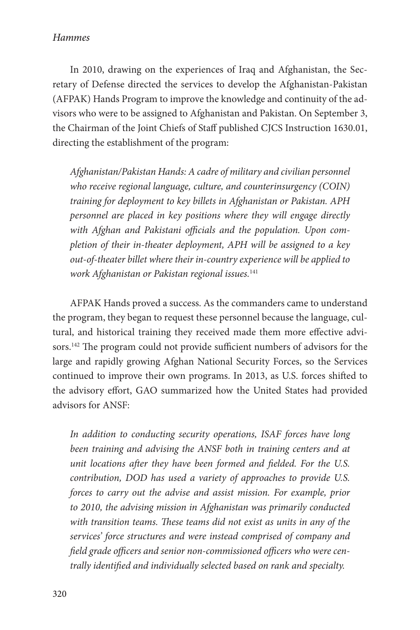In 2010, drawing on the experiences of Iraq and Afghanistan, the Secretary of Defense directed the services to develop the Afghanistan-Pakistan (AFPAK) Hands Program to improve the knowledge and continuity of the advisors who were to be assigned to Afghanistan and Pakistan. On September 3, the Chairman of the Joint Chiefs of Staff published CJCS Instruction 1630.01, directing the establishment of the program:

*Afghanistan/Pakistan Hands: A cadre of military and civilian personnel who receive regional language, culture, and counterinsurgency (COIN) training for deployment to key billets in Afghanistan or Pakistan. APH personnel are placed in key positions where they will engage directly with Afghan and Pakistani officials and the population. Upon completion of their in-theater deployment, APH will be assigned to a key out-of-theater billet where their in-country experience will be applied to work Afghanistan or Pakistan regional issues.*<sup>141</sup>

AFPAK Hands proved a success. As the commanders came to understand the program, they began to request these personnel because the language, cultural, and historical training they received made them more effective advisors.<sup>142</sup> The program could not provide sufficient numbers of advisors for the large and rapidly growing Afghan National Security Forces, so the Services continued to improve their own programs. In 2013, as U.S. forces shifted to the advisory effort, GAO summarized how the United States had provided advisors for ANSF:

*In addition to conducting security operations, ISAF forces have long been training and advising the ANSF both in training centers and at unit locations after they have been formed and fielded. For the U.S. contribution, DOD has used a variety of approaches to provide U.S. forces to carry out the advise and assist mission. For example, prior to 2010, the advising mission in Afghanistan was primarily conducted with transition teams. These teams did not exist as units in any of the services' force structures and were instead comprised of company and field grade officers and senior non-commissioned officers who were centrally identified and individually selected based on rank and specialty.*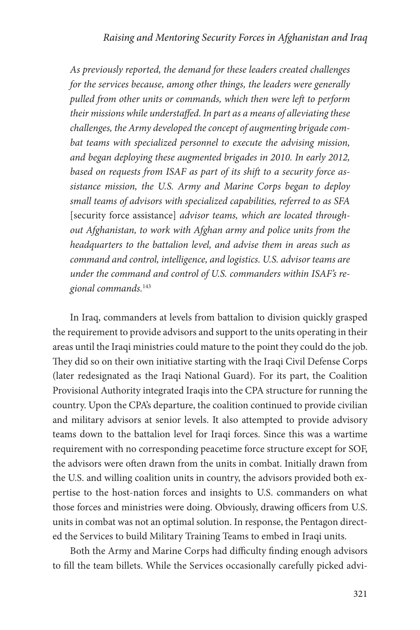*As previously reported, the demand for these leaders created challenges for the services because, among other things, the leaders were generally pulled from other units or commands, which then were left to perform their missions while understaffed. In part as a means of alleviating these challenges, the Army developed the concept of augmenting brigade combat teams with specialized personnel to execute the advising mission, and began deploying these augmented brigades in 2010. In early 2012, based on requests from ISAF as part of its shift to a security force assistance mission, the U.S. Army and Marine Corps began to deploy small teams of advisors with specialized capabilities, referred to as SFA*  [security force assistance] *advisor teams, which are located throughout Afghanistan, to work with Afghan army and police units from the headquarters to the battalion level, and advise them in areas such as command and control, intelligence, and logistics. U.S. advisor teams are under the command and control of U.S. commanders within ISAF's regional commands.*<sup>143</sup>

In Iraq, commanders at levels from battalion to division quickly grasped the requirement to provide advisors and support to the units operating in their areas until the Iraqi ministries could mature to the point they could do the job. They did so on their own initiative starting with the Iraqi Civil Defense Corps (later redesignated as the Iraqi National Guard). For its part, the Coalition Provisional Authority integrated Iraqis into the CPA structure for running the country. Upon the CPA's departure, the coalition continued to provide civilian and military advisors at senior levels. It also attempted to provide advisory teams down to the battalion level for Iraqi forces. Since this was a wartime requirement with no corresponding peacetime force structure except for SOF, the advisors were often drawn from the units in combat. Initially drawn from the U.S. and willing coalition units in country, the advisors provided both expertise to the host-nation forces and insights to U.S. commanders on what those forces and ministries were doing. Obviously, drawing officers from U.S. units in combat was not an optimal solution. In response, the Pentagon directed the Services to build Military Training Teams to embed in Iraqi units.

Both the Army and Marine Corps had difficulty finding enough advisors to fill the team billets. While the Services occasionally carefully picked advi-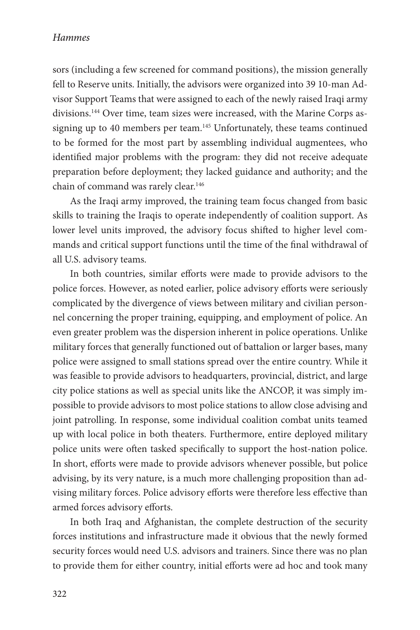sors (including a few screened for command positions), the mission generally fell to Reserve units. Initially, the advisors were organized into 39 10-man Advisor Support Teams that were assigned to each of the newly raised Iraqi army divisions.<sup>144</sup> Over time, team sizes were increased, with the Marine Corps assigning up to 40 members per team.<sup>145</sup> Unfortunately, these teams continued to be formed for the most part by assembling individual augmentees, who identified major problems with the program: they did not receive adequate preparation before deployment; they lacked guidance and authority; and the chain of command was rarely clear.<sup>146</sup>

As the Iraqi army improved, the training team focus changed from basic skills to training the Iraqis to operate independently of coalition support. As lower level units improved, the advisory focus shifted to higher level commands and critical support functions until the time of the final withdrawal of all U.S. advisory teams.

In both countries, similar efforts were made to provide advisors to the police forces. However, as noted earlier, police advisory efforts were seriously complicated by the divergence of views between military and civilian personnel concerning the proper training, equipping, and employment of police. An even greater problem was the dispersion inherent in police operations. Unlike military forces that generally functioned out of battalion or larger bases, many police were assigned to small stations spread over the entire country. While it was feasible to provide advisors to headquarters, provincial, district, and large city police stations as well as special units like the ANCOP, it was simply impossible to provide advisors to most police stations to allow close advising and joint patrolling. In response, some individual coalition combat units teamed up with local police in both theaters. Furthermore, entire deployed military police units were often tasked specifically to support the host-nation police. In short, efforts were made to provide advisors whenever possible, but police advising, by its very nature, is a much more challenging proposition than advising military forces. Police advisory efforts were therefore less effective than armed forces advisory efforts.

In both Iraq and Afghanistan, the complete destruction of the security forces institutions and infrastructure made it obvious that the newly formed security forces would need U.S. advisors and trainers. Since there was no plan to provide them for either country, initial efforts were ad hoc and took many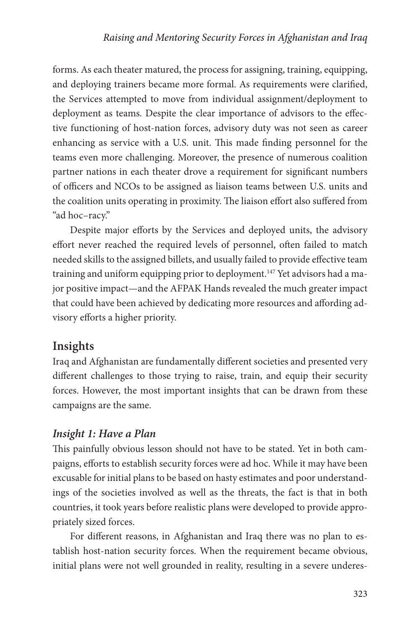forms. As each theater matured, the process for assigning, training, equipping, and deploying trainers became more formal. As requirements were clarified, the Services attempted to move from individual assignment/deployment to deployment as teams. Despite the clear importance of advisors to the effective functioning of host-nation forces, advisory duty was not seen as career enhancing as service with a U.S. unit. This made finding personnel for the teams even more challenging. Moreover, the presence of numerous coalition partner nations in each theater drove a requirement for significant numbers of officers and NCOs to be assigned as liaison teams between U.S. units and the coalition units operating in proximity. The liaison effort also suffered from "ad hoc–racy."

Despite major efforts by the Services and deployed units, the advisory effort never reached the required levels of personnel, often failed to match needed skills to the assigned billets, and usually failed to provide effective team training and uniform equipping prior to deployment.<sup>147</sup> Yet advisors had a major positive impact—and the AFPAK Hands revealed the much greater impact that could have been achieved by dedicating more resources and affording advisory efforts a higher priority.

# **Insights**

Iraq and Afghanistan are fundamentally different societies and presented very different challenges to those trying to raise, train, and equip their security forces. However, the most important insights that can be drawn from these campaigns are the same.

# *Insight 1: Have a Plan*

This painfully obvious lesson should not have to be stated. Yet in both campaigns, efforts to establish security forces were ad hoc. While it may have been excusable for initial plans to be based on hasty estimates and poor understandings of the societies involved as well as the threats, the fact is that in both countries, it took years before realistic plans were developed to provide appropriately sized forces.

For different reasons, in Afghanistan and Iraq there was no plan to establish host-nation security forces. When the requirement became obvious, initial plans were not well grounded in reality, resulting in a severe underes-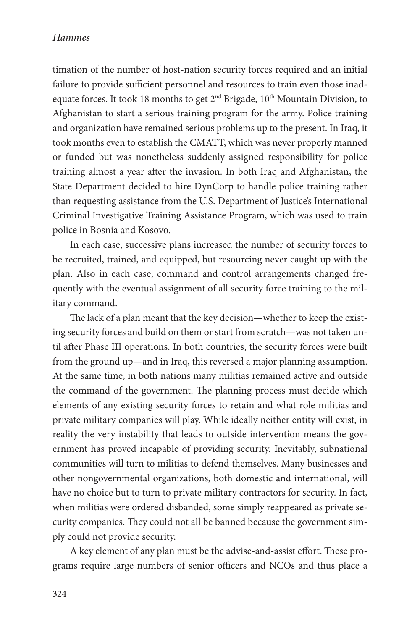timation of the number of host-nation security forces required and an initial failure to provide sufficient personnel and resources to train even those inadequate forces. It took 18 months to get 2<sup>nd</sup> Brigade, 10<sup>th</sup> Mountain Division, to Afghanistan to start a serious training program for the army. Police training and organization have remained serious problems up to the present. In Iraq, it took months even to establish the CMATT, which was never properly manned or funded but was nonetheless suddenly assigned responsibility for police training almost a year after the invasion. In both Iraq and Afghanistan, the State Department decided to hire DynCorp to handle police training rather than requesting assistance from the U.S. Department of Justice's International Criminal Investigative Training Assistance Program, which was used to train police in Bosnia and Kosovo.

In each case, successive plans increased the number of security forces to be recruited, trained, and equipped, but resourcing never caught up with the plan. Also in each case, command and control arrangements changed frequently with the eventual assignment of all security force training to the military command.

The lack of a plan meant that the key decision—whether to keep the existing security forces and build on them or start from scratch—was not taken until after Phase III operations. In both countries, the security forces were built from the ground up—and in Iraq, this reversed a major planning assumption. At the same time, in both nations many militias remained active and outside the command of the government. The planning process must decide which elements of any existing security forces to retain and what role militias and private military companies will play. While ideally neither entity will exist, in reality the very instability that leads to outside intervention means the government has proved incapable of providing security. Inevitably, subnational communities will turn to militias to defend themselves. Many businesses and other nongovernmental organizations, both domestic and international, will have no choice but to turn to private military contractors for security. In fact, when militias were ordered disbanded, some simply reappeared as private security companies. They could not all be banned because the government simply could not provide security.

A key element of any plan must be the advise-and-assist effort. These programs require large numbers of senior officers and NCOs and thus place a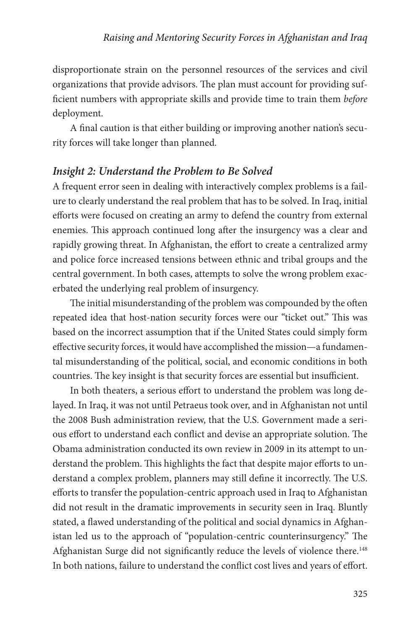disproportionate strain on the personnel resources of the services and civil organizations that provide advisors. The plan must account for providing sufficient numbers with appropriate skills and provide time to train them *before* deployment.

A final caution is that either building or improving another nation's security forces will take longer than planned.

# *Insight 2: Understand the Problem to Be Solved*

A frequent error seen in dealing with interactively complex problems is a failure to clearly understand the real problem that has to be solved. In Iraq, initial efforts were focused on creating an army to defend the country from external enemies. This approach continued long after the insurgency was a clear and rapidly growing threat. In Afghanistan, the effort to create a centralized army and police force increased tensions between ethnic and tribal groups and the central government. In both cases, attempts to solve the wrong problem exacerbated the underlying real problem of insurgency.

The initial misunderstanding of the problem was compounded by the often repeated idea that host-nation security forces were our "ticket out." This was based on the incorrect assumption that if the United States could simply form effective security forces, it would have accomplished the mission—a fundamental misunderstanding of the political, social, and economic conditions in both countries. The key insight is that security forces are essential but insufficient.

In both theaters, a serious effort to understand the problem was long delayed. In Iraq, it was not until Petraeus took over, and in Afghanistan not until the 2008 Bush administration review, that the U.S. Government made a serious effort to understand each conflict and devise an appropriate solution. The Obama administration conducted its own review in 2009 in its attempt to understand the problem. This highlights the fact that despite major efforts to understand a complex problem, planners may still define it incorrectly. The U.S. efforts to transfer the population-centric approach used in Iraq to Afghanistan did not result in the dramatic improvements in security seen in Iraq. Bluntly stated, a flawed understanding of the political and social dynamics in Afghanistan led us to the approach of "population-centric counterinsurgency." The Afghanistan Surge did not significantly reduce the levels of violence there.<sup>148</sup> In both nations, failure to understand the conflict cost lives and years of effort.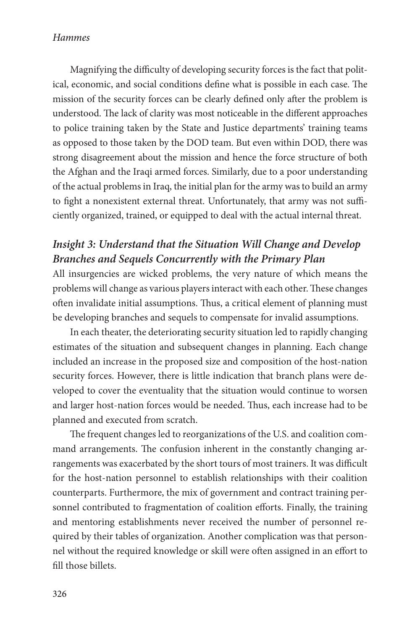Magnifying the difficulty of developing security forces is the fact that political, economic, and social conditions define what is possible in each case. The mission of the security forces can be clearly defined only after the problem is understood. The lack of clarity was most noticeable in the different approaches to police training taken by the State and Justice departments' training teams as opposed to those taken by the DOD team. But even within DOD, there was strong disagreement about the mission and hence the force structure of both the Afghan and the Iraqi armed forces. Similarly, due to a poor understanding of the actual problems in Iraq, the initial plan for the army was to build an army to fight a nonexistent external threat. Unfortunately, that army was not sufficiently organized, trained, or equipped to deal with the actual internal threat.

# *Insight 3: Understand that the Situation Will Change and Develop Branches and Sequels Concurrently with the Primary Plan*

All insurgencies are wicked problems, the very nature of which means the problems will change as various players interact with each other. These changes often invalidate initial assumptions. Thus, a critical element of planning must be developing branches and sequels to compensate for invalid assumptions.

In each theater, the deteriorating security situation led to rapidly changing estimates of the situation and subsequent changes in planning. Each change included an increase in the proposed size and composition of the host-nation security forces. However, there is little indication that branch plans were developed to cover the eventuality that the situation would continue to worsen and larger host-nation forces would be needed. Thus, each increase had to be planned and executed from scratch.

The frequent changes led to reorganizations of the U.S. and coalition command arrangements. The confusion inherent in the constantly changing arrangements was exacerbated by the short tours of most trainers. It was difficult for the host-nation personnel to establish relationships with their coalition counterparts. Furthermore, the mix of government and contract training personnel contributed to fragmentation of coalition efforts. Finally, the training and mentoring establishments never received the number of personnel required by their tables of organization. Another complication was that personnel without the required knowledge or skill were often assigned in an effort to fill those billets.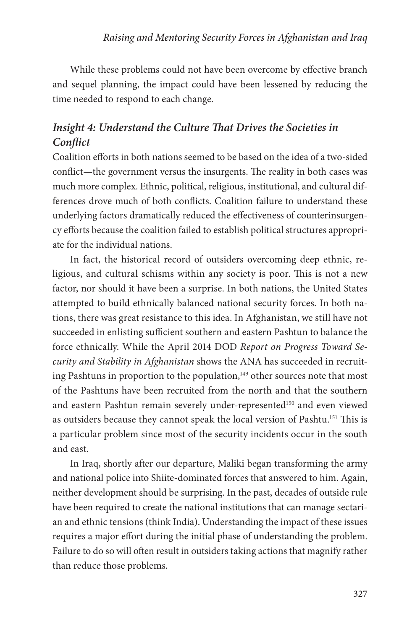While these problems could not have been overcome by effective branch and sequel planning, the impact could have been lessened by reducing the time needed to respond to each change.

# *Insight 4: Understand the Culture That Drives the Societies in Conflict*

Coalition efforts in both nations seemed to be based on the idea of a two-sided conflict—the government versus the insurgents. The reality in both cases was much more complex. Ethnic, political, religious, institutional, and cultural differences drove much of both conflicts. Coalition failure to understand these underlying factors dramatically reduced the effectiveness of counterinsurgency efforts because the coalition failed to establish political structures appropriate for the individual nations.

In fact, the historical record of outsiders overcoming deep ethnic, religious, and cultural schisms within any society is poor. This is not a new factor, nor should it have been a surprise. In both nations, the United States attempted to build ethnically balanced national security forces. In both nations, there was great resistance to this idea. In Afghanistan, we still have not succeeded in enlisting sufficient southern and eastern Pashtun to balance the force ethnically. While the April 2014 DOD *Report on Progress Toward Security and Stability in Afghanistan* shows the ANA has succeeded in recruiting Pashtuns in proportion to the population,<sup>149</sup> other sources note that most of the Pashtuns have been recruited from the north and that the southern and eastern Pashtun remain severely under-represented<sup>150</sup> and even viewed as outsiders because they cannot speak the local version of Pashtu.<sup>151</sup> This is a particular problem since most of the security incidents occur in the south and east.

In Iraq, shortly after our departure, Maliki began transforming the army and national police into Shiite-dominated forces that answered to him. Again, neither development should be surprising. In the past, decades of outside rule have been required to create the national institutions that can manage sectarian and ethnic tensions (think India). Understanding the impact of these issues requires a major effort during the initial phase of understanding the problem. Failure to do so will often result in outsiders taking actions that magnify rather than reduce those problems.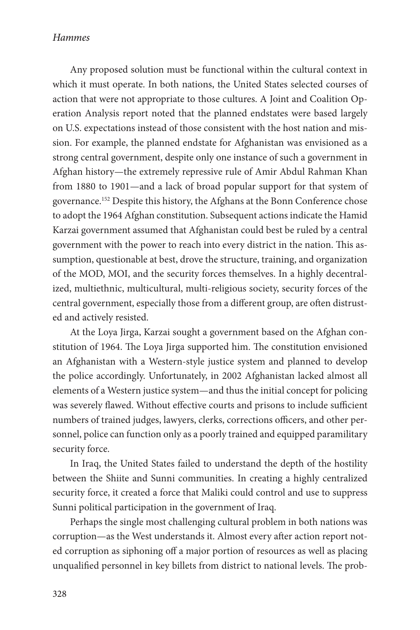Any proposed solution must be functional within the cultural context in which it must operate. In both nations, the United States selected courses of action that were not appropriate to those cultures. A Joint and Coalition Operation Analysis report noted that the planned endstates were based largely on U.S. expectations instead of those consistent with the host nation and mission. For example, the planned endstate for Afghanistan was envisioned as a strong central government, despite only one instance of such a government in Afghan history—the extremely repressive rule of Amir Abdul Rahman Khan from 1880 to 1901—and a lack of broad popular support for that system of governance.152 Despite this history, the Afghans at the Bonn Conference chose to adopt the 1964 Afghan constitution. Subsequent actions indicate the Hamid Karzai government assumed that Afghanistan could best be ruled by a central government with the power to reach into every district in the nation. This assumption, questionable at best, drove the structure, training, and organization of the MOD, MOI, and the security forces themselves. In a highly decentralized, multiethnic, multicultural, multi-religious society, security forces of the central government, especially those from a different group, are often distrusted and actively resisted.

At the Loya Jirga, Karzai sought a government based on the Afghan constitution of 1964. The Loya Jirga supported him. The constitution envisioned an Afghanistan with a Western-style justice system and planned to develop the police accordingly. Unfortunately, in 2002 Afghanistan lacked almost all elements of a Western justice system—and thus the initial concept for policing was severely flawed. Without effective courts and prisons to include sufficient numbers of trained judges, lawyers, clerks, corrections officers, and other personnel, police can function only as a poorly trained and equipped paramilitary security force.

In Iraq, the United States failed to understand the depth of the hostility between the Shiite and Sunni communities. In creating a highly centralized security force, it created a force that Maliki could control and use to suppress Sunni political participation in the government of Iraq.

Perhaps the single most challenging cultural problem in both nations was corruption—as the West understands it. Almost every after action report noted corruption as siphoning off a major portion of resources as well as placing unqualified personnel in key billets from district to national levels. The prob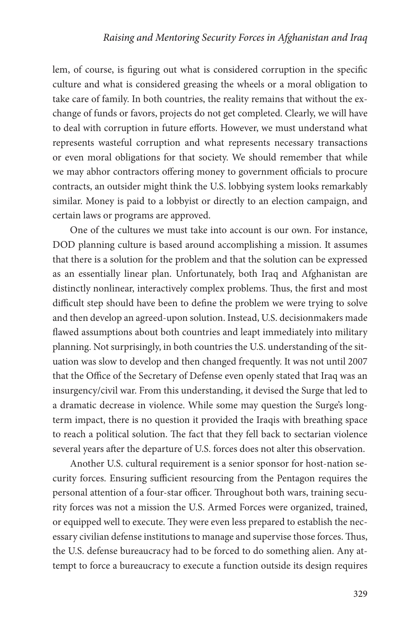lem, of course, is figuring out what is considered corruption in the specific culture and what is considered greasing the wheels or a moral obligation to take care of family. In both countries, the reality remains that without the exchange of funds or favors, projects do not get completed. Clearly, we will have to deal with corruption in future efforts. However, we must understand what represents wasteful corruption and what represents necessary transactions or even moral obligations for that society. We should remember that while we may abhor contractors offering money to government officials to procure contracts, an outsider might think the U.S. lobbying system looks remarkably similar. Money is paid to a lobbyist or directly to an election campaign, and certain laws or programs are approved.

One of the cultures we must take into account is our own. For instance, DOD planning culture is based around accomplishing a mission. It assumes that there is a solution for the problem and that the solution can be expressed as an essentially linear plan. Unfortunately, both Iraq and Afghanistan are distinctly nonlinear, interactively complex problems. Thus, the first and most difficult step should have been to define the problem we were trying to solve and then develop an agreed-upon solution. Instead, U.S. decisionmakers made flawed assumptions about both countries and leapt immediately into military planning. Not surprisingly, in both countries the U.S. understanding of the situation was slow to develop and then changed frequently. It was not until 2007 that the Office of the Secretary of Defense even openly stated that Iraq was an insurgency/civil war. From this understanding, it devised the Surge that led to a dramatic decrease in violence. While some may question the Surge's longterm impact, there is no question it provided the Iraqis with breathing space to reach a political solution. The fact that they fell back to sectarian violence several years after the departure of U.S. forces does not alter this observation.

Another U.S. cultural requirement is a senior sponsor for host-nation security forces. Ensuring sufficient resourcing from the Pentagon requires the personal attention of a four-star officer. Throughout both wars, training security forces was not a mission the U.S. Armed Forces were organized, trained, or equipped well to execute. They were even less prepared to establish the necessary civilian defense institutions to manage and supervise those forces. Thus, the U.S. defense bureaucracy had to be forced to do something alien. Any attempt to force a bureaucracy to execute a function outside its design requires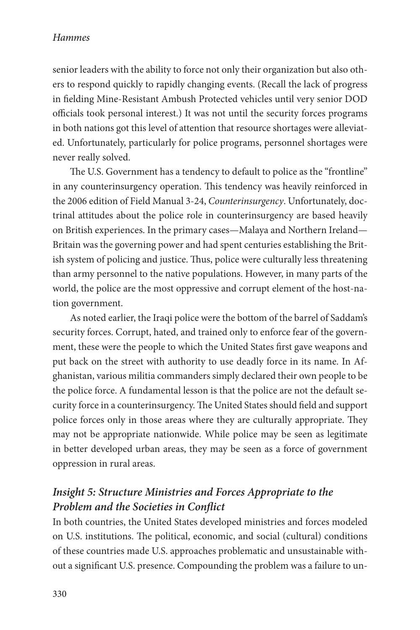senior leaders with the ability to force not only their organization but also others to respond quickly to rapidly changing events. (Recall the lack of progress in fielding Mine-Resistant Ambush Protected vehicles until very senior DOD officials took personal interest.) It was not until the security forces programs in both nations got this level of attention that resource shortages were alleviated. Unfortunately, particularly for police programs, personnel shortages were never really solved.

The U.S. Government has a tendency to default to police as the "frontline" in any counterinsurgency operation. This tendency was heavily reinforced in the 2006 edition of Field Manual 3-24, *Counterinsurgency*. Unfortunately, doctrinal attitudes about the police role in counterinsurgency are based heavily on British experiences. In the primary cases—Malaya and Northern Ireland— Britain was the governing power and had spent centuries establishing the British system of policing and justice. Thus, police were culturally less threatening than army personnel to the native populations. However, in many parts of the world, the police are the most oppressive and corrupt element of the host-nation government.

As noted earlier, the Iraqi police were the bottom of the barrel of Saddam's security forces. Corrupt, hated, and trained only to enforce fear of the government, these were the people to which the United States first gave weapons and put back on the street with authority to use deadly force in its name. In Afghanistan, various militia commanders simply declared their own people to be the police force. A fundamental lesson is that the police are not the default security force in a counterinsurgency. The United States should field and support police forces only in those areas where they are culturally appropriate. They may not be appropriate nationwide. While police may be seen as legitimate in better developed urban areas, they may be seen as a force of government oppression in rural areas.

# *Insight 5: Structure Ministries and Forces Appropriate to the Problem and the Societies in Conflict*

In both countries, the United States developed ministries and forces modeled on U.S. institutions. The political, economic, and social (cultural) conditions of these countries made U.S. approaches problematic and unsustainable without a significant U.S. presence. Compounding the problem was a failure to un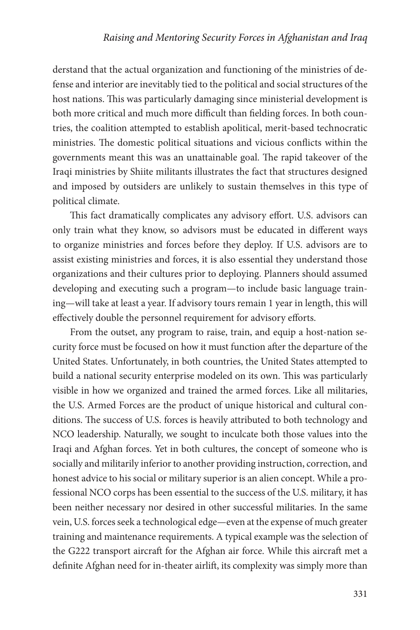derstand that the actual organization and functioning of the ministries of defense and interior are inevitably tied to the political and social structures of the host nations. This was particularly damaging since ministerial development is both more critical and much more difficult than fielding forces. In both countries, the coalition attempted to establish apolitical, merit-based technocratic ministries. The domestic political situations and vicious conflicts within the governments meant this was an unattainable goal. The rapid takeover of the Iraqi ministries by Shiite militants illustrates the fact that structures designed and imposed by outsiders are unlikely to sustain themselves in this type of political climate.

This fact dramatically complicates any advisory effort. U.S. advisors can only train what they know, so advisors must be educated in different ways to organize ministries and forces before they deploy. If U.S. advisors are to assist existing ministries and forces, it is also essential they understand those organizations and their cultures prior to deploying. Planners should assumed developing and executing such a program—to include basic language training—will take at least a year. If advisory tours remain 1 year in length, this will effectively double the personnel requirement for advisory efforts.

From the outset, any program to raise, train, and equip a host-nation security force must be focused on how it must function after the departure of the United States. Unfortunately, in both countries, the United States attempted to build a national security enterprise modeled on its own. This was particularly visible in how we organized and trained the armed forces. Like all militaries, the U.S. Armed Forces are the product of unique historical and cultural conditions. The success of U.S. forces is heavily attributed to both technology and NCO leadership. Naturally, we sought to inculcate both those values into the Iraqi and Afghan forces. Yet in both cultures, the concept of someone who is socially and militarily inferior to another providing instruction, correction, and honest advice to his social or military superior is an alien concept. While a professional NCO corps has been essential to the success of the U.S. military, it has been neither necessary nor desired in other successful militaries. In the same vein, U.S. forces seek a technological edge—even at the expense of much greater training and maintenance requirements. A typical example was the selection of the G222 transport aircraft for the Afghan air force. While this aircraft met a definite Afghan need for in-theater airlift, its complexity was simply more than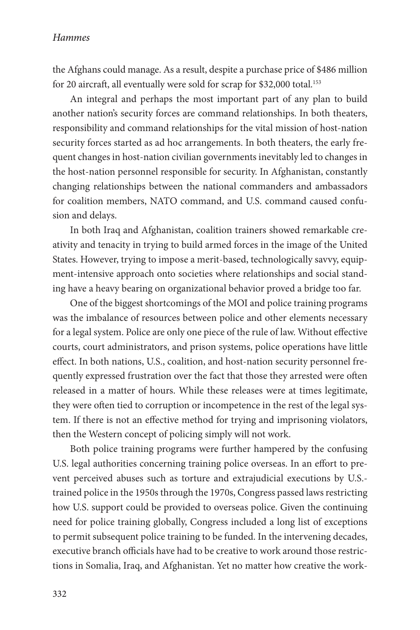the Afghans could manage. As a result, despite a purchase price of \$486 million for 20 aircraft, all eventually were sold for scrap for \$32,000 total.<sup>153</sup>

An integral and perhaps the most important part of any plan to build another nation's security forces are command relationships. In both theaters, responsibility and command relationships for the vital mission of host-nation security forces started as ad hoc arrangements. In both theaters, the early frequent changes in host-nation civilian governments inevitably led to changes in the host-nation personnel responsible for security. In Afghanistan, constantly changing relationships between the national commanders and ambassadors for coalition members, NATO command, and U.S. command caused confusion and delays.

In both Iraq and Afghanistan, coalition trainers showed remarkable creativity and tenacity in trying to build armed forces in the image of the United States. However, trying to impose a merit-based, technologically savvy, equipment-intensive approach onto societies where relationships and social standing have a heavy bearing on organizational behavior proved a bridge too far.

One of the biggest shortcomings of the MOI and police training programs was the imbalance of resources between police and other elements necessary for a legal system. Police are only one piece of the rule of law. Without effective courts, court administrators, and prison systems, police operations have little effect. In both nations, U.S., coalition, and host-nation security personnel frequently expressed frustration over the fact that those they arrested were often released in a matter of hours. While these releases were at times legitimate, they were often tied to corruption or incompetence in the rest of the legal system. If there is not an effective method for trying and imprisoning violators, then the Western concept of policing simply will not work.

Both police training programs were further hampered by the confusing U.S. legal authorities concerning training police overseas. In an effort to prevent perceived abuses such as torture and extrajudicial executions by U.S. trained police in the 1950s through the 1970s, Congress passed laws restricting how U.S. support could be provided to overseas police. Given the continuing need for police training globally, Congress included a long list of exceptions to permit subsequent police training to be funded. In the intervening decades, executive branch officials have had to be creative to work around those restrictions in Somalia, Iraq, and Afghanistan. Yet no matter how creative the work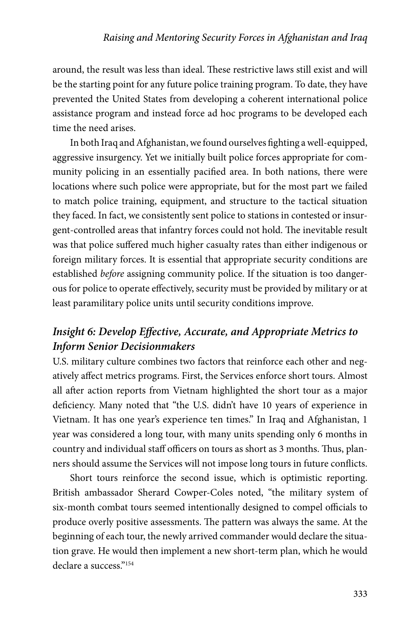around, the result was less than ideal. These restrictive laws still exist and will be the starting point for any future police training program. To date, they have prevented the United States from developing a coherent international police assistance program and instead force ad hoc programs to be developed each time the need arises.

In both Iraq and Afghanistan, we found ourselves fighting a well-equipped, aggressive insurgency. Yet we initially built police forces appropriate for community policing in an essentially pacified area. In both nations, there were locations where such police were appropriate, but for the most part we failed to match police training, equipment, and structure to the tactical situation they faced. In fact, we consistently sent police to stations in contested or insurgent-controlled areas that infantry forces could not hold. The inevitable result was that police suffered much higher casualty rates than either indigenous or foreign military forces. It is essential that appropriate security conditions are established *before* assigning community police. If the situation is too dangerous for police to operate effectively, security must be provided by military or at least paramilitary police units until security conditions improve.

# *Insight 6: Develop Effective, Accurate, and Appropriate Metrics to Inform Senior Decisionmakers*

U.S. military culture combines two factors that reinforce each other and negatively affect metrics programs. First, the Services enforce short tours. Almost all after action reports from Vietnam highlighted the short tour as a major deficiency. Many noted that "the U.S. didn't have 10 years of experience in Vietnam. It has one year's experience ten times." In Iraq and Afghanistan, 1 year was considered a long tour, with many units spending only 6 months in country and individual staff officers on tours as short as 3 months. Thus, planners should assume the Services will not impose long tours in future conflicts.

Short tours reinforce the second issue, which is optimistic reporting. British ambassador Sherard Cowper-Coles noted, "the military system of six-month combat tours seemed intentionally designed to compel officials to produce overly positive assessments. The pattern was always the same. At the beginning of each tour, the newly arrived commander would declare the situation grave. He would then implement a new short-term plan, which he would declare a success."154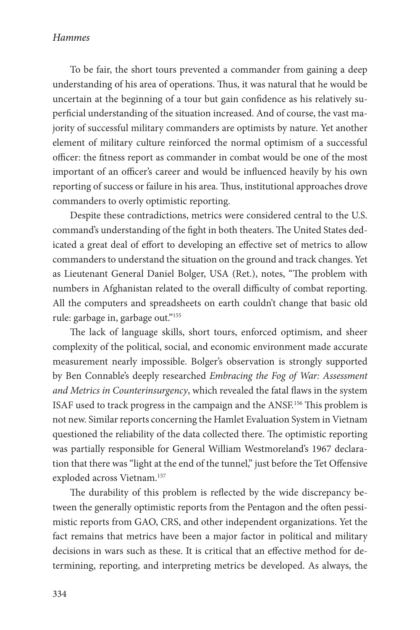To be fair, the short tours prevented a commander from gaining a deep understanding of his area of operations. Thus, it was natural that he would be uncertain at the beginning of a tour but gain confidence as his relatively superficial understanding of the situation increased. And of course, the vast majority of successful military commanders are optimists by nature. Yet another element of military culture reinforced the normal optimism of a successful officer: the fitness report as commander in combat would be one of the most important of an officer's career and would be influenced heavily by his own reporting of success or failure in his area. Thus, institutional approaches drove commanders to overly optimistic reporting.

Despite these contradictions, metrics were considered central to the U.S. command's understanding of the fight in both theaters. The United States dedicated a great deal of effort to developing an effective set of metrics to allow commanders to understand the situation on the ground and track changes. Yet as Lieutenant General Daniel Bolger, USA (Ret.), notes, "The problem with numbers in Afghanistan related to the overall difficulty of combat reporting. All the computers and spreadsheets on earth couldn't change that basic old rule: garbage in, garbage out."<sup>155</sup>

The lack of language skills, short tours, enforced optimism, and sheer complexity of the political, social, and economic environment made accurate measurement nearly impossible. Bolger's observation is strongly supported by Ben Connable's deeply researched *Embracing the Fog of War: Assessment and Metrics in Counterinsurgency*, which revealed the fatal flaws in the system ISAF used to track progress in the campaign and the ANSF.156 This problem is not new. Similar reports concerning the Hamlet Evaluation System in Vietnam questioned the reliability of the data collected there. The optimistic reporting was partially responsible for General William Westmoreland's 1967 declaration that there was "light at the end of the tunnel," just before the Tet Offensive exploded across Vietnam.157

The durability of this problem is reflected by the wide discrepancy between the generally optimistic reports from the Pentagon and the often pessimistic reports from GAO, CRS, and other independent organizations. Yet the fact remains that metrics have been a major factor in political and military decisions in wars such as these. It is critical that an effective method for determining, reporting, and interpreting metrics be developed. As always, the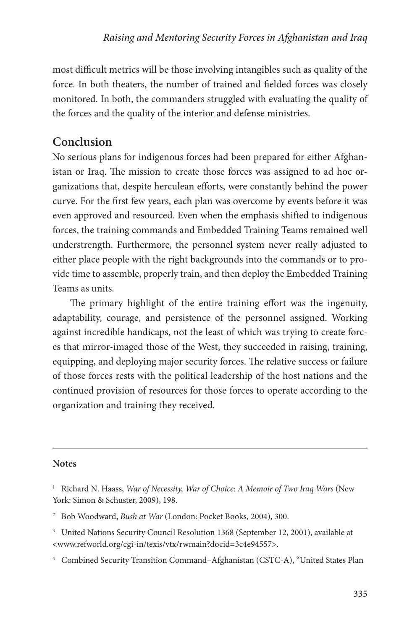most difficult metrics will be those involving intangibles such as quality of the force. In both theaters, the number of trained and fielded forces was closely monitored. In both, the commanders struggled with evaluating the quality of the forces and the quality of the interior and defense ministries.

# **Conclusion**

No serious plans for indigenous forces had been prepared for either Afghanistan or Iraq. The mission to create those forces was assigned to ad hoc organizations that, despite herculean efforts, were constantly behind the power curve. For the first few years, each plan was overcome by events before it was even approved and resourced. Even when the emphasis shifted to indigenous forces, the training commands and Embedded Training Teams remained well understrength. Furthermore, the personnel system never really adjusted to either place people with the right backgrounds into the commands or to provide time to assemble, properly train, and then deploy the Embedded Training Teams as units.

The primary highlight of the entire training effort was the ingenuity, adaptability, courage, and persistence of the personnel assigned. Working against incredible handicaps, not the least of which was trying to create forces that mirror-imaged those of the West, they succeeded in raising, training, equipping, and deploying major security forces. The relative success or failure of those forces rests with the political leadership of the host nations and the continued provision of resources for those forces to operate according to the organization and training they received.

#### **Notes**

- <sup>3</sup> United Nations Security Council Resolution 1368 (September 12, 2001), available at <www.refworld.org/cgi-in/texis/vtx/rwmain?docid=3c4e94557>.
- <sup>4</sup> Combined Security Transition Command–Afghanistan (CSTC-A), "United States Plan

<sup>&</sup>lt;sup>1</sup> Richard N. Haass, War of Necessity, War of Choice: A Memoir of Two Iraq Wars (New York: Simon & Schuster, 2009), 198.

<sup>&</sup>lt;sup>2</sup> Bob Woodward, *Bush at War* (London: Pocket Books, 2004), 300.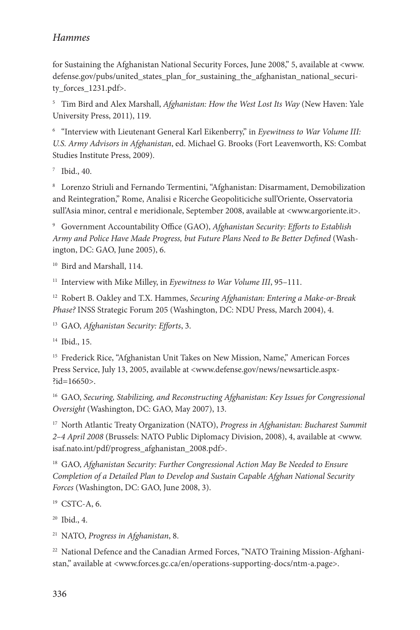for Sustaining the Afghanistan National Security Forces, June 2008," 5, available at <www. defense.gov/pubs/united\_states\_plan\_for\_sustaining\_the\_afghanistan\_national\_security\_forces\_1231.pdf>.

<sup>5</sup> Tim Bird and Alex Marshall, *Afghanistan: How the West Lost Its Way* (New Haven: Yale University Press, 2011), 119.

<sup>6</sup> "Interview with Lieutenant General Karl Eikenberry," in *Eyewitness to War Volume III: U.S. Army Advisors in Afghanistan*, ed. Michael G. Brooks (Fort Leavenworth, KS: Combat Studies Institute Press, 2009).

<sup>7</sup> Ibid., 40.

<sup>8</sup> Lorenzo Striuli and Fernando Termentini, "Afghanistan: Disarmament, Demobilization and Reintegration," Rome, Analisi e Ricerche Geopoliticiche sull'Oriente, Osservatoria sull'Asia minor, central e meridionale, September 2008, available at <www.argoriente.it>.

<sup>9</sup> Government Accountability Office (GAO), *Afghanistan Security: Efforts to Establish Army and Police Have Made Progress, but Future Plans Need to Be Better Defined* (Washington, DC: GAO, June 2005), 6.

<sup>10</sup> Bird and Marshall, 114.

<sup>11</sup> Interview with Mike Milley, in *Eyewitness to War Volume III*, 95-111.

<sup>12</sup> Robert B. Oakley and T.X. Hammes, *Securing Afghanistan: Entering a Make-or-Break Phase?* INSS Strategic Forum 205 (Washington, DC: NDU Press, March 2004), 4.

<sup>13</sup> GAO, *Afghanistan Security: Efforts*, 3.

<sup>14</sup> Ibid., 15.

<sup>15</sup> Frederick Rice, "Afghanistan Unit Takes on New Mission, Name," American Forces Press Service, July 13, 2005, available at <www.defense.gov/news/newsarticle.aspx-?id=16650>.

<sup>16</sup> GAO, Securing, Stabilizing, and Reconstructing Afghanistan: Key Issues for Congressional *Oversight* (Washington, DC: GAO, May 2007), 13.

<sup>17</sup> North Atlantic Treaty Organization (NATO), *Progress in Afghanistan: Bucharest Summit 2–4 April 2008* (Brussels: NATO Public Diplomacy Division, 2008), 4, available at <www. isaf.nato.int/pdf/progress\_afghanistan\_2008.pdf>.

<sup>18</sup> GAO, *Afghanistan Security: Further Congressional Action May Be Needed to Ensure Completion of a Detailed Plan to Develop and Sustain Capable Afghan National Security Forces* (Washington, DC: GAO, June 2008, 3).

 $19$  CSTC-A, 6.

<sup>20</sup> Ibid., 4.

<sup>21</sup> NATO, *Progress in Afghanistan*, 8.

<sup>22</sup> National Defence and the Canadian Armed Forces, "NATO Training Mission-Afghanistan," available at <www.forces.gc.ca/en/operations-supporting-docs/ntm-a.page>.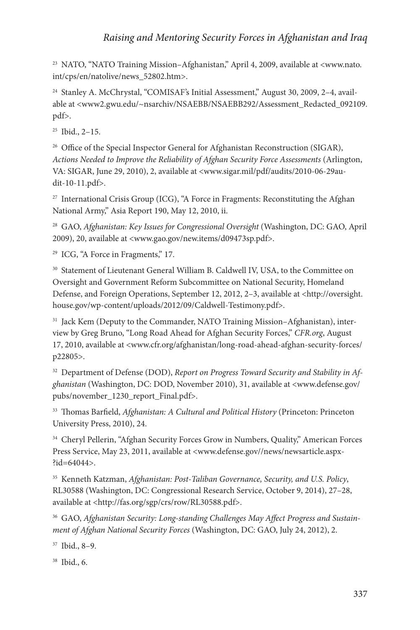<sup>23</sup> NATO, "NATO Training Mission-Afghanistan," April 4, 2009, available at <www.nato. int/cps/en/natolive/news\_52802.htm>.

<sup>24</sup> Stanley A. McChrystal, "COMISAF's Initial Assessment," August 30, 2009, 2-4, available at <www2.gwu.edu/~nsarchiv/NSAEBB/NSAEBB292/Assessment\_Redacted\_092109. pdf>.

<sup>25</sup> Ibid., 2–15.

<sup>26</sup> Office of the Special Inspector General for Afghanistan Reconstruction (SIGAR), *Actions Needed to Improve the Reliability of Afghan Security Force Assessments* (Arlington, VA: SIGAR, June 29, 2010), 2, available at <www.sigar.mil/pdf/audits/2010-06-29audit-10-11.pdf>.

 $27$  International Crisis Group (ICG), "A Force in Fragments: Reconstituting the Afghan National Army," Asia Report 190, May 12, 2010, ii.

<sup>28</sup> GAO, *Afghanistan: Key Issues for Congressional Oversight* (Washington, DC: GAO, April 2009), 20, available at <www.gao.gov/new.items/d09473sp.pdf>.

<sup>29</sup> ICG, "A Force in Fragments," 17.

<sup>30</sup> Statement of Lieutenant General William B. Caldwell IV, USA, to the Committee on Oversight and Government Reform Subcommittee on National Security, Homeland Defense, and Foreign Operations, September 12, 2012, 2–3, available at <http://oversight. house.gov/wp-content/uploads/2012/09/Caldwell-Testimony.pdf>.

<sup>31</sup> Jack Kem (Deputy to the Commander, NATO Training Mission-Afghanistan), interview by Greg Bruno, "Long Road Ahead for Afghan Security Forces," *CFR.org*, August 17, 2010, available at <www.cfr.org/afghanistan/long-road-ahead-afghan-security-forces/ p22805>.

<sup>32</sup> Department of Defense (DOD), *Report on Progress Toward Security and Stability in Afghanistan* (Washington, DC: DOD, November 2010), 31, available at <www.defense.gov/ pubs/november\_1230\_report\_Final.pdf>.

<sup>33</sup> Thomas Barfield, *Afghanistan: A Cultural and Political History* (Princeton: Princeton University Press, 2010), 24.

<sup>34</sup> Cheryl Pellerin, "Afghan Security Forces Grow in Numbers, Quality," American Forces Press Service, May 23, 2011, available at <www.defense.gov//news/newsarticle.aspx- ?id=64044>.

<sup>35</sup> Kenneth Katzman, *Afghanistan: Post-Taliban Governance, Security, and U.S. Policy*, RL30588 (Washington, DC: Congressional Research Service, October 9, 2014), 27–28, available at <http://fas.org/sgp/crs/row/RL30588.pdf>.

<sup>36</sup> GAO, *Afghanistan Security: Long-standing Challenges May Affect Progress and Sustainment of Afghan National Security Forces* (Washington, DC: GAO, July 24, 2012), 2.

<sup>37</sup> Ibid., 8–9.

<sup>38</sup> Ibid., 6.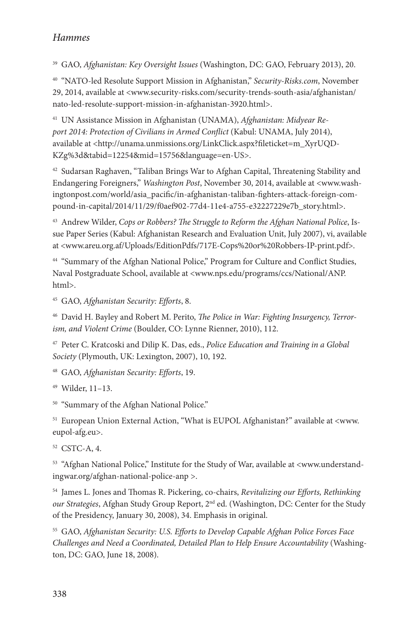<sup>39</sup> GAO, *Afghanistan: Key Oversight Issues* (Washington, DC: GAO, February 2013), 20.

<sup>40</sup> "NATO-led Resolute Support Mission in Afghanistan," *Security-Risks.com*, November 29, 2014, available at <www.security-risks.com/security-trends-south-asia/afghanistan/ nato-led-resolute-support-mission-in-afghanistan-3920.html>.

<sup>41</sup> UN Assistance Mission in Afghanistan (UNAMA), *Afghanistan: Midyear Report 2014: Protection of Civilians in Armed Conflict* (Kabul: UNAMA, July 2014), available at <http://unama.unmissions.org/LinkClick.aspx?fileticket=m\_XyrUQD-KZg%3d&tabid=12254&mid=15756&language=en-US>.

<sup>42</sup> Sudarsan Raghaven, "Taliban Brings War to Afghan Capital, Threatening Stability and Endangering Foreigners," *Washington Post*, November 30, 2014, available at <www.washingtonpost.com/world/asia\_pacific/in-afghanistan-taliban-fighters-attack-foreign-compound-in-capital/2014/11/29/f0aef902-77d4-11e4-a755-e32227229e7b\_story.html>.

<sup>43</sup> Andrew Wilder, *Cops or Robbers? The Struggle to Reform the Afghan National Police*, Issue Paper Series (Kabul: Afghanistan Research and Evaluation Unit, July 2007), vi, available at <www.areu.org.af/Uploads/EditionPdfs/717E-Cops%20or%20Robbers-IP-print.pdf>.

<sup>44</sup> "Summary of the Afghan National Police," Program for Culture and Conflict Studies, Naval Postgraduate School, available at <www.nps.edu/programs/ccs/National/ANP. html>.

<sup>45</sup> GAO, *Afghanistan Security: Efforts*, 8.

<sup>46</sup> David H. Bayley and Robert M. Perito, *The Police in War: Fighting Insurgency, Terrorism, and Violent Crime* (Boulder, CO: Lynne Rienner, 2010), 112.

<sup>47</sup> Peter C. Kratcoski and Dilip K. Das, eds., *Police Education and Training in a Global Society* (Plymouth, UK: Lexington, 2007), 10, 192.

<sup>48</sup> GAO, *Afghanistan Security: Efforts*, 19.

<sup>49</sup> Wilder, 11–13.

<sup>50</sup> "Summary of the Afghan National Police."

<sup>51</sup> European Union External Action, "What is EUPOL Afghanistan?" available at <www. eupol-afg.eu>.

<sup>52</sup> CSTC-A, 4.

53 "Afghan National Police," Institute for the Study of War, available at <www.understandingwar.org/afghan-national-police-anp >.

<sup>54</sup> James L. Jones and Thomas R. Pickering, co-chairs, *Revitalizing our Efforts, Rethinking our Strategies*, Afghan Study Group Report, 2nd ed. (Washington, DC: Center for the Study of the Presidency, January 30, 2008), 34. Emphasis in original.

<sup>55</sup> GAO, *Afghanistan Security: U.S. Efforts to Develop Capable Afghan Police Forces Face Challenges and Need a Coordinated, Detailed Plan to Help Ensure Accountability* (Washington, DC: GAO, June 18, 2008).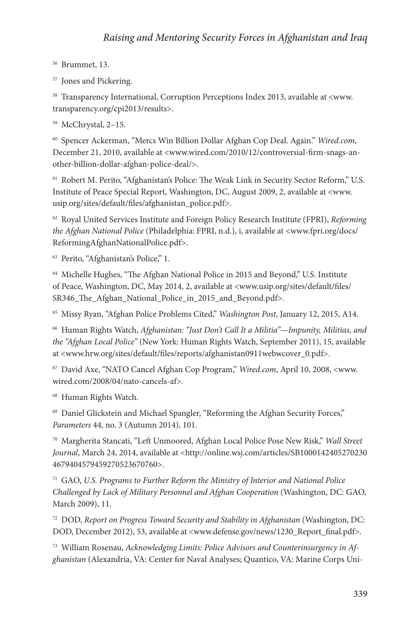- <sup>56</sup> Brummet, 13.
- <sup>57</sup> Jones and Pickering.

<sup>58</sup> Transparency International, Corruption Perceptions Index 2013, available at <www. transparency.org/cpi2013/results>.

<sup>59</sup> McChrystal, 2–15.

<sup>60</sup> Spencer Ackerman, "Mercs Win Billion Dollar Afghan Cop Deal. Again." *Wired.com*, December 21, 2010, available at <www.wired.com/2010/12/controversial-firm-snags-another-billion-dollar-afghan-police-deal/>.

<sup>61</sup> Robert M. Perito, "Afghanistan's Police: The Weak Link in Security Sector Reform," U.S. Institute of Peace Special Report, Washington, DC, August 2009, 2, available at <www. usip.org/sites/default/files/afghanistan\_police.pdf>.

<sup>62</sup> Royal United Services Institute and Foreign Policy Research Institute (FPRI), *Reforming the Afghan National Police* (Philadelphia: FPRI, n.d.), i, available at <www.fpri.org/docs/ ReformingAfghanNationalPolice.pdf>.

<sup>63</sup> Perito, "Afghanistan's Police," 1.

<sup>64</sup> Michelle Hughes, "The Afghan National Police in 2015 and Beyond," U.S. Institute of Peace, Washington, DC, May 2014, 2, available at <www.usip.org/sites/default/files/ SR346\_The\_Afghan\_National\_Police\_in\_2015\_and\_Beyond.pdf>.

<sup>65</sup> Missy Ryan, "Afghan Police Problems Cited," *Washington Post*, January 12, 2015, A14.

<sup>66</sup> Human Rights Watch, *Afghanistan: "Just Don't Call It a Militia"—Impunity, Militias, and the "Afghan Local Police"* (New York: Human Rights Watch, September 2011), 15, available at <www.hrw.org/sites/default/files/reports/afghanistan0911webwcover\_0.pdf>.

<sup>67</sup> David Axe, "NATO Cancel Afghan Cop Program," *Wired.com*, April 10, 2008, <www. wired.com/2008/04/nato-cancels-af>.

<sup>68</sup> Human Rights Watch.

<sup>69</sup> Daniel Glickstein and Michael Spangler, "Reforming the Afghan Security Forces," *Parameters* 44, no. 3 (Autumn 2014), 101.

<sup>70</sup> Margherita Stancati, "Left Unmoored, Afghan Local Police Pose New Risk," *Wall Street Journal*, March 24, 2014, available at <http://online.wsj.com/articles/SB1000142405270230 4679404579459270523670760>.

<sup>71</sup> GAO, *U.S. Programs to Further Reform the Ministry of Interior and National Police Challenged by Lack of Military Personnel and Afghan Cooperation* (Washington, DC: GAO, March 2009), 11.

<sup>72</sup> DOD, *Report on Progress Toward Security and Stability in Afghanistan* (Washington, DC: DOD, December 2012), 53, available at <www.defense.gov/news/1230\_Report\_final.pdf>.

<sup>73</sup> William Rosenau, *Acknowledging Limits: Police Advisors and Counterinsurgency in Afghanistan* (Alexandria, VA: Center for Naval Analyses; Quantico, VA: Marine Corps Uni-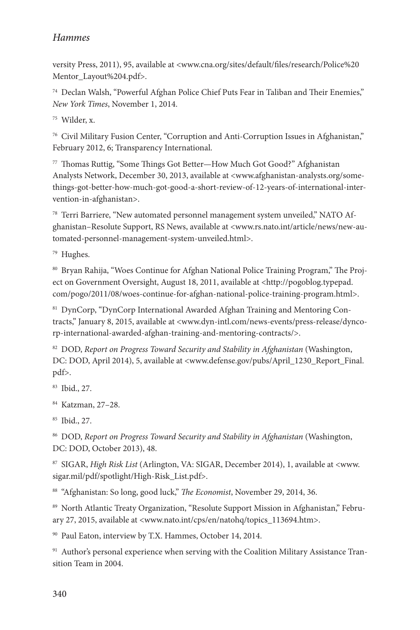versity Press, 2011), 95, available at <www.cna.org/sites/default/files/research/Police%20 Mentor\_Layout%204.pdf>.

<sup>74</sup> Declan Walsh, "Powerful Afghan Police Chief Puts Fear in Taliban and Their Enemies," *New York Times*, November 1, 2014.

<sup>75</sup> Wilder, x.

<sup>76</sup> Civil Military Fusion Center, "Corruption and Anti-Corruption Issues in Afghanistan," February 2012, 6; Transparency International.

<sup>77</sup> Thomas Ruttig, "Some Things Got Better—How Much Got Good?" Afghanistan Analysts Network, December 30, 2013, available at <www.afghanistan-analysts.org/somethings-got-better-how-much-got-good-a-short-review-of-12-years-of-international-intervention-in-afghanistan>.

<sup>78</sup> Terri Barriere, "New automated personnel management system unveiled," NATO Afghanistan–Resolute Support, RS News, available at <www.rs.nato.int/article/news/new-automated-personnel-management-system-unveiled.html>.

<sup>79</sup> Hughes.

80 Bryan Rahija, "Woes Continue for Afghan National Police Training Program," The Project on Government Oversight, August 18, 2011, available at <http://pogoblog.typepad. com/pogo/2011/08/woes-continue-for-afghan-national-police-training-program.html>.

<sup>81</sup> DynCorp, "DynCorp International Awarded Afghan Training and Mentoring Contracts," January 8, 2015, available at <www.dyn-intl.com/news-events/press-release/dyncorp-international-awarded-afghan-training-and-mentoring-contracts/>.

<sup>82</sup> DOD, *Report on Progress Toward Security and Stability in Afghanistan* (Washington, DC: DOD, April 2014), 5, available at <www.defense.gov/pubs/April\_1230\_Report\_Final. pdf>.

<sup>83</sup> Ibid., 27.

<sup>84</sup> Katzman, 27–28.

<sup>85</sup> Ibid., 27.

<sup>86</sup> DOD, *Report on Progress Toward Security and Stability in Afghanistan* (Washington, DC: DOD, October 2013), 48.

<sup>87</sup> SIGAR, *High Risk List* (Arlington, VA: SIGAR, December 2014), 1, available at <www. sigar.mil/pdf/spotlight/High-Risk\_List.pdf>.

<sup>88</sup> "Afghanistan: So long, good luck," *The Economist*, November 29, 2014, 36.

<sup>89</sup> North Atlantic Treaty Organization, "Resolute Support Mission in Afghanistan," February 27, 2015, available at <www.nato.int/cps/en/natohq/topics\_113694.htm>.

<sup>90</sup> Paul Eaton, interview by T.X. Hammes, October 14, 2014.

<sup>91</sup> Author's personal experience when serving with the Coalition Military Assistance Transition Team in 2004.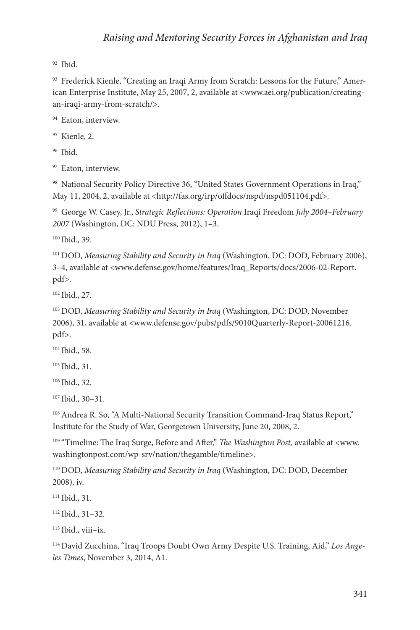$92$  Ibid.

93 Frederick Kienle, "Creating an Iraqi Army from Scratch: Lessons for the Future," American Enterprise Institute, May 25, 2007, 2, available at <www.aei.org/publication/creatingan-iraqi-army-from-scratch/>.

<sup>94</sup> Eaton, interview.

<sup>95</sup> Kienle, 2.

<sup>96</sup> Ibid.

<sup>97</sup> Eaton, interview.

98 National Security Policy Directive 36, "United States Government Operations in Iraq," May 11, 2004, 2, available at <http://fas.org/irp/offdocs/nspd/nspd051104.pdf>.

<sup>99</sup> George W. Casey, Jr., *Strategic Reflections: Operation* Iraqi Freedom *July 2004–February 2007* (Washington, DC: NDU Press, 2012), 1–3.

<sup>100</sup> Ibid., 39.

<sup>101</sup> DOD, *Measuring Stability and Security in Iraq* (Washington, DC: DOD, February 2006), 3–4, available at <www.defense.gov/home/features/Iraq\_Reports/docs/2006-02-Report. pdf>.

<sup>102</sup> Ibid., 27.

<sup>103</sup> DOD, *Measuring Stability and Security in Iraq* (Washington, DC: DOD, November 2006), 31, available at <www.defense.gov/pubs/pdfs/9010Quarterly-Report-20061216. pdf>.

<sup>104</sup> Ibid., 58.

<sup>105</sup> Ibid., 31.

<sup>106</sup> Ibid., 32.

 $107$  Ibid.,  $30-31$ .

108 Andrea R. So, "A Multi-National Security Transition Command-Iraq Status Report," Institute for the Study of War, Georgetown University, June 20, 2008, 2.

<sup>109</sup> "Timeline: The Iraq Surge, Before and After," *The Washington Post*, available at <www. washingtonpost.com/wp-srv/nation/thegamble/timeline>.

<sup>110</sup> DOD, *Measuring Stability and Security in Iraq* (Washington, DC: DOD, December 2008), iv.

<sup>111</sup> Ibid., 31.

<sup>112</sup> Ibid., 31–32.

<sup>113</sup> Ibid., viii–ix.

<sup>114</sup> David Zucchina, "Iraq Troops Doubt Own Army Despite U.S. Training, Aid," *Los Angeles Times*, November 3, 2014, A1.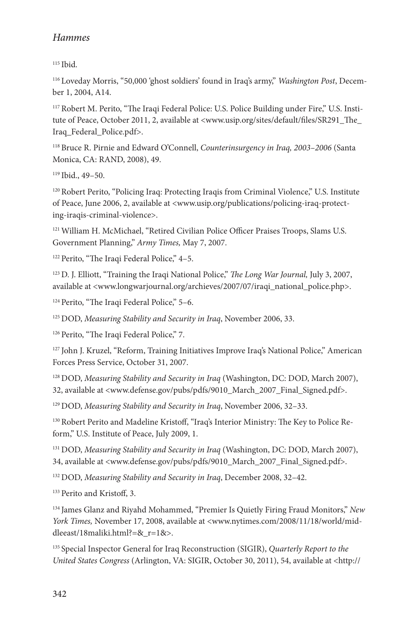<sup>115</sup> Ibid.

<sup>116</sup> Loveday Morris, "50,000 'ghost soldiers' found in Iraq's army," *Washington Post*, December 1, 2004, A14.

<sup>117</sup> Robert M. Perito, "The Iraqi Federal Police: U.S. Police Building under Fire," U.S. Institute of Peace, October 2011, 2, available at <www.usip.org/sites/default/files/SR291\_The\_ Iraq\_Federal\_Police.pdf>.

<sup>118</sup> Bruce R. Pirnie and Edward O'Connell, *Counterinsurgency in Iraq, 2003–2006* (Santa Monica, CA: RAND, 2008), 49.

<sup>119</sup> Ibid., 49–50.

<sup>120</sup> Robert Perito, "Policing Iraq: Protecting Iraqis from Criminal Violence," U.S. Institute of Peace, June 2006, 2, available at <www.usip.org/publications/policing-iraq-protecting-iraqis-criminal-violence>.

<sup>121</sup> William H. McMichael, "Retired Civilian Police Officer Praises Troops, Slams U.S. Government Planning," *Army Times,* May 7, 2007.

<sup>122</sup> Perito, "The Iraqi Federal Police," 4-5.

<sup>123</sup> D. J. Elliott, "Training the Iraqi National Police," *The Long War Journal,* July 3, 2007, available at <www.longwarjournal.org/archieves/2007/07/iraqi\_national\_police.php>.

<sup>124</sup> Perito, "The Iraqi Federal Police," 5-6.

<sup>125</sup> DOD, *Measuring Stability and Security in Iraq*, November 2006, 33.

<sup>126</sup> Perito, "The Iraqi Federal Police," 7.

<sup>127</sup> John J. Kruzel, "Reform, Training Initiatives Improve Iraq's National Police," American Forces Press Service, October 31, 2007.

<sup>128</sup> DOD, *Measuring Stability and Security in Iraq* (Washington, DC: DOD, March 2007), 32, available at <www.defense.gov/pubs/pdfs/9010\_March\_2007\_Final\_Signed.pdf>.

<sup>129</sup> DOD, *Measuring Stability and Security in Iraq*, November 2006, 32–33.

130 Robert Perito and Madeline Kristoff, "Iraq's Interior Ministry: The Key to Police Reform," U.S. Institute of Peace, July 2009, 1.

<sup>131</sup> DOD, *Measuring Stability and Security in Iraq* (Washington, DC: DOD, March 2007), 34, available at <www.defense.gov/pubs/pdfs/9010\_March\_2007\_Final\_Signed.pdf>.

<sup>132</sup> DOD, *Measuring Stability and Security in Iraq*, December 2008, 32–42.

<sup>133</sup> Perito and Kristoff, 3.

<sup>134</sup> James Glanz and Riyahd Mohammed, "Premier Is Quietly Firing Fraud Monitors," *New York Times,* November 17, 2008, available at <www.nytimes.com/2008/11/18/world/middleeast/18maliki.html?=&\_r=1&>.

<sup>135</sup> Special Inspector General for Iraq Reconstruction (SIGIR), *Quarterly Report to the United States Congress* (Arlington, VA: SIGIR, October 30, 2011), 54, available at <http://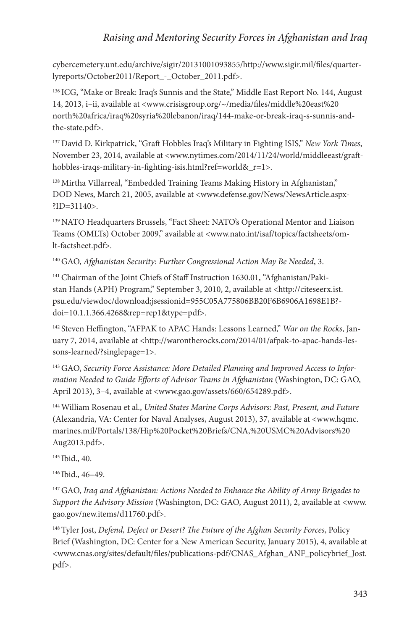# *Raising and Mentoring Security Forces in Afghanistan and Iraq*

cybercemetery.unt.edu/archive/sigir/20131001093855/http://www.sigir.mil/files/quarterlyreports/October2011/Report\_-\_October\_2011.pdf>.

<sup>136</sup> ICG, "Make or Break: Iraq's Sunnis and the State," Middle East Report No. 144, August 14, 2013, i–ii, available at <www.crisisgroup.org/~/media/files/middle%20east%20 north%20africa/iraq%20syria%20lebanon/iraq/144-make-or-break-iraq-s-sunnis-andthe-state.pdf>.

<sup>137</sup> David D. Kirkpatrick, "Graft Hobbles Iraq's Military in Fighting ISIS," *New York Times*, November 23, 2014, available at <www.nytimes.com/2014/11/24/world/middleeast/grafthobbles-iraqs-military-in-fighting-isis.html?ref=world&\_r=1>.

<sup>138</sup> Mirtha Villarreal, "Embedded Training Teams Making History in Afghanistan," DOD News, March 21, 2005, available at <www.defense.gov/News/NewsArticle.aspx-  $?ID = 31140$ .

139 NATO Headquarters Brussels, "Fact Sheet: NATO's Operational Mentor and Liaison Teams (OMLTs) October 2009," available at <www.nato.int/isaf/topics/factsheets/omlt-factsheet.pdf>.

<sup>140</sup> GAO, *Afghanistan Security: Further Congressional Action May Be Needed*, 3.

<sup>141</sup> Chairman of the Joint Chiefs of Staff Instruction 1630.01, "Afghanistan/Pakistan Hands (APH) Program," September 3, 2010, 2, available at <http://citeseerx.ist. psu.edu/viewdoc/download;jsessionid=955C05A775806BB20F6B6906A1698E1B? doi=10.1.1.366.4268&rep=rep1&type=pdf>.

<sup>142</sup> Steven Heffington, "AFPAK to APAC Hands: Lessons Learned," *War on the Rocks*, January 7, 2014, available at <http://warontherocks.com/2014/01/afpak-to-apac-hands-lessons-learned/?singlepage=1>.

<sup>143</sup> GAO, Security Force Assistance: More Detailed Planning and Improved Access to Infor*mation Needed to Guide Efforts of Advisor Teams in Afghanistan* (Washington, DC: GAO, April 2013), 3–4, available at <www.gao.gov/assets/660/654289.pdf>.

144William Rosenau et al., *United States Marine Corps Advisors: Past, Present, and Future* (Alexandria, VA: Center for Naval Analyses, August 2013), 37, available at <www.hqmc. marines.mil/Portals/138/Hip%20Pocket%20Briefs/CNA,%20USMC%20Advisors%20 Aug2013.pdf>.

<sup>145</sup> Ibid., 40.

<sup>146</sup> Ibid., 46–49.

<sup>147</sup> GAO, *Iraq and Afghanistan: Actions Needed to Enhance the Ability of Army Brigades to Support the Advisory Mission* (Washington, DC: GAO, August 2011), 2, available at <www. gao.gov/new.items/d11760.pdf>.

<sup>148</sup> Tyler Jost, *Defend, Defect or Desert? The Future of the Afghan Security Forces*, Policy Brief (Washington, DC: Center for a New American Security, January 2015), 4, available at <www.cnas.org/sites/default/files/publications-pdf/CNAS\_Afghan\_ANF\_policybrief\_Jost. pdf>.